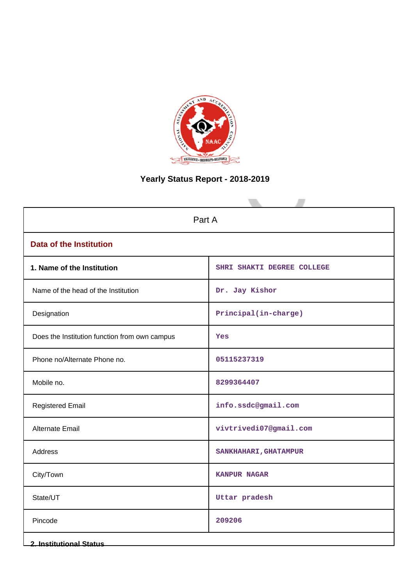

# **Yearly Status Report - 2018-2019**

| Part A                                        |                            |  |  |  |  |
|-----------------------------------------------|----------------------------|--|--|--|--|
| <b>Data of the Institution</b>                |                            |  |  |  |  |
| 1. Name of the Institution                    | SHRI SHAKTI DEGREE COLLEGE |  |  |  |  |
| Name of the head of the Institution           | Dr. Jay Kishor             |  |  |  |  |
| Designation                                   | Principal(in-charge)       |  |  |  |  |
| Does the Institution function from own campus | Yes                        |  |  |  |  |
| Phone no/Alternate Phone no.                  | 05115237319                |  |  |  |  |
| Mobile no.                                    | 8299364407                 |  |  |  |  |
| <b>Registered Email</b>                       | info.ssdc@gmail.com        |  |  |  |  |
| <b>Alternate Email</b>                        | vivtrivedi07@gmail.com     |  |  |  |  |
| Address                                       | SANKHAHARI, GHATAMPUR      |  |  |  |  |
| City/Town                                     | <b>KANPUR NAGAR</b>        |  |  |  |  |
| State/UT                                      | Uttar pradesh              |  |  |  |  |
| Pincode                                       | 209206                     |  |  |  |  |
| <b>2. Institutional Status</b>                |                            |  |  |  |  |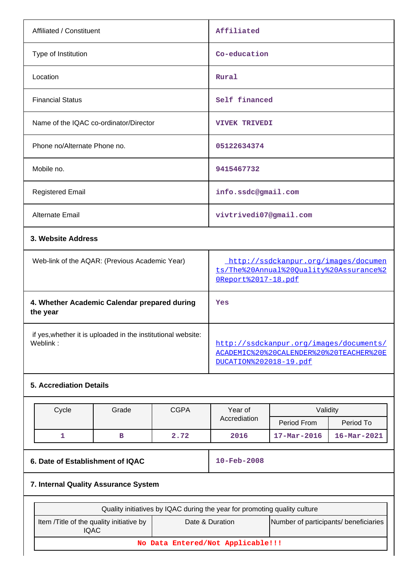| Affiliated / Constituent               | Affiliated             |
|----------------------------------------|------------------------|
| Type of Institution                    | Co-education           |
| Location                               | Rural                  |
| <b>Financial Status</b>                | Self financed          |
| Name of the IQAC co-ordinator/Director | <b>VIVEK TRIVEDI</b>   |
| Phone no/Alternate Phone no.           | 05122634374            |
| Mobile no.                             | 9415467732             |
| <b>Registered Email</b>                | info.ssdc@gmail.com    |
| Alternate Email                        | vivtrivedi07@gmail.com |
| 3. Website Address                     |                        |

| Web-link of the AQAR: (Previous Academic Year)                           | http://ssdckanpur.org/images/documen<br>ts/The%20Annual%20Ouality%20Assurance%2<br>0Report%2017-18.pdf       |
|--------------------------------------------------------------------------|--------------------------------------------------------------------------------------------------------------|
| 4. Whether Academic Calendar prepared during<br>the year                 | Yes                                                                                                          |
| if yes, whether it is uploaded in the institutional website:<br>Weblink: | http://ssdckanpur.org/images/documents/<br>ACADEMIC%20%20CALENDER%20%20TEACHER%20E<br>DUCATION%202018-19.pdf |

# **5. Accrediation Details**

| Cycle | Grade | <b>CGPA</b> | Year of<br>Accrediation | Validitv                 |                          |
|-------|-------|-------------|-------------------------|--------------------------|--------------------------|
|       |       |             |                         | Period From              | Period To                |
|       |       | 2.72        | 2016                    | $17 - \text{Mar} - 2016$ | $16 - \text{Mar} - 2021$ |

# **6. Date of Establishment of IQAC** 10-Feb-2008

# **7. Internal Quality Assurance System**

| Quality initiatives by IQAC during the year for promoting quality culture                                            |  |  |  |  |  |  |
|----------------------------------------------------------------------------------------------------------------------|--|--|--|--|--|--|
| Number of participants/ beneficiaries<br>Item / Title of the quality initiative by<br>Date & Duration<br><b>IQAC</b> |  |  |  |  |  |  |
| No Data Entered/Not Applicable!!!                                                                                    |  |  |  |  |  |  |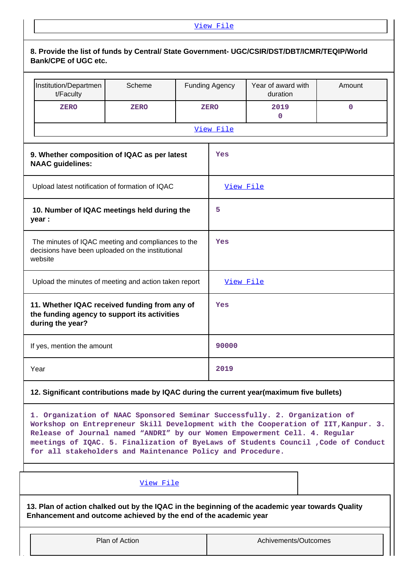|                                                                                                                    | View File                                                                                                                   |             |     |                       |                                                                                                                                                                                                                                                                                                                                      |             |  |  |  |
|--------------------------------------------------------------------------------------------------------------------|-----------------------------------------------------------------------------------------------------------------------------|-------------|-----|-----------------------|--------------------------------------------------------------------------------------------------------------------------------------------------------------------------------------------------------------------------------------------------------------------------------------------------------------------------------------|-------------|--|--|--|
|                                                                                                                    | 8. Provide the list of funds by Central/ State Government- UGC/CSIR/DST/DBT/ICMR/TEQIP/World<br><b>Bank/CPE of UGC etc.</b> |             |     |                       |                                                                                                                                                                                                                                                                                                                                      |             |  |  |  |
|                                                                                                                    | Institution/Departmen<br>t/Faculty                                                                                          | Scheme      |     | <b>Funding Agency</b> | Year of award with<br>duration                                                                                                                                                                                                                                                                                                       | Amount      |  |  |  |
|                                                                                                                    | <b>ZERO</b>                                                                                                                 | <b>ZERO</b> |     | <b>ZERO</b>           | 2019<br>0                                                                                                                                                                                                                                                                                                                            | $\mathbf 0$ |  |  |  |
|                                                                                                                    |                                                                                                                             |             |     | View File             |                                                                                                                                                                                                                                                                                                                                      |             |  |  |  |
|                                                                                                                    | 9. Whether composition of IQAC as per latest<br>Yes<br><b>NAAC</b> guidelines:                                              |             |     |                       |                                                                                                                                                                                                                                                                                                                                      |             |  |  |  |
|                                                                                                                    | Upload latest notification of formation of IQAC                                                                             |             |     | View File             |                                                                                                                                                                                                                                                                                                                                      |             |  |  |  |
| 10. Number of IQAC meetings held during the<br>year :                                                              |                                                                                                                             |             |     | 5                     |                                                                                                                                                                                                                                                                                                                                      |             |  |  |  |
| The minutes of IQAC meeting and compliances to the<br>decisions have been uploaded on the institutional<br>website |                                                                                                                             |             | Yes |                       |                                                                                                                                                                                                                                                                                                                                      |             |  |  |  |
| Upload the minutes of meeting and action taken report                                                              |                                                                                                                             |             |     | View File             |                                                                                                                                                                                                                                                                                                                                      |             |  |  |  |
| 11. Whether IQAC received funding from any of<br>the funding agency to support its activities<br>during the year?  |                                                                                                                             |             |     | Yes                   |                                                                                                                                                                                                                                                                                                                                      |             |  |  |  |
|                                                                                                                    | If yes, mention the amount                                                                                                  |             |     | 90000                 |                                                                                                                                                                                                                                                                                                                                      |             |  |  |  |
|                                                                                                                    | Year                                                                                                                        |             |     | 2019                  |                                                                                                                                                                                                                                                                                                                                      |             |  |  |  |
|                                                                                                                    | 12. Significant contributions made by IQAC during the current year(maximum five bullets)                                    |             |     |                       |                                                                                                                                                                                                                                                                                                                                      |             |  |  |  |
|                                                                                                                    | for all stakeholders and Maintenance Policy and Procedure.                                                                  |             |     |                       | 1. Organization of NAAC Sponsored Seminar Successfully. 2. Organization of<br>Workshop on Entrepreneur Skill Development with the Cooperation of IIT, Kanpur. 3.<br>Release of Journal named "ANDRI" by our Women Empowerment Cell. 4. Regular<br>meetings of IQAC. 5. Finalization of ByeLaws of Students Council , Code of Conduct |             |  |  |  |
|                                                                                                                    |                                                                                                                             |             |     |                       |                                                                                                                                                                                                                                                                                                                                      |             |  |  |  |

**13. Plan of action chalked out by the IQAC in the beginning of the academic year towards Quality Enhancement and outcome achieved by the end of the academic year**

Plan of Action **Achivements/Outcomes**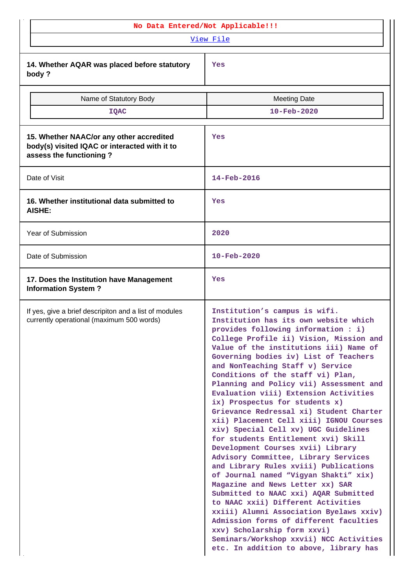| No Data Entered/Not Applicable!!!                                                                                    |                                                                                                                                                                                                                                                                                                                                                                                                                                                                                                                                                                                                                                                                                                                                                                                                                                                                                                                                                                                                                                                                                                            |  |  |  |  |
|----------------------------------------------------------------------------------------------------------------------|------------------------------------------------------------------------------------------------------------------------------------------------------------------------------------------------------------------------------------------------------------------------------------------------------------------------------------------------------------------------------------------------------------------------------------------------------------------------------------------------------------------------------------------------------------------------------------------------------------------------------------------------------------------------------------------------------------------------------------------------------------------------------------------------------------------------------------------------------------------------------------------------------------------------------------------------------------------------------------------------------------------------------------------------------------------------------------------------------------|--|--|--|--|
|                                                                                                                      | View File                                                                                                                                                                                                                                                                                                                                                                                                                                                                                                                                                                                                                                                                                                                                                                                                                                                                                                                                                                                                                                                                                                  |  |  |  |  |
| 14. Whether AQAR was placed before statutory<br>body?                                                                | Yes                                                                                                                                                                                                                                                                                                                                                                                                                                                                                                                                                                                                                                                                                                                                                                                                                                                                                                                                                                                                                                                                                                        |  |  |  |  |
| Name of Statutory Body                                                                                               | <b>Meeting Date</b>                                                                                                                                                                                                                                                                                                                                                                                                                                                                                                                                                                                                                                                                                                                                                                                                                                                                                                                                                                                                                                                                                        |  |  |  |  |
| <b>IQAC</b>                                                                                                          | 10-Feb-2020                                                                                                                                                                                                                                                                                                                                                                                                                                                                                                                                                                                                                                                                                                                                                                                                                                                                                                                                                                                                                                                                                                |  |  |  |  |
| 15. Whether NAAC/or any other accredited<br>body(s) visited IQAC or interacted with it to<br>assess the functioning? | Yes                                                                                                                                                                                                                                                                                                                                                                                                                                                                                                                                                                                                                                                                                                                                                                                                                                                                                                                                                                                                                                                                                                        |  |  |  |  |
| Date of Visit                                                                                                        | 14-Feb-2016                                                                                                                                                                                                                                                                                                                                                                                                                                                                                                                                                                                                                                                                                                                                                                                                                                                                                                                                                                                                                                                                                                |  |  |  |  |
| 16. Whether institutional data submitted to<br><b>AISHE:</b>                                                         | Yes                                                                                                                                                                                                                                                                                                                                                                                                                                                                                                                                                                                                                                                                                                                                                                                                                                                                                                                                                                                                                                                                                                        |  |  |  |  |
| Year of Submission                                                                                                   | 2020                                                                                                                                                                                                                                                                                                                                                                                                                                                                                                                                                                                                                                                                                                                                                                                                                                                                                                                                                                                                                                                                                                       |  |  |  |  |
| Date of Submission                                                                                                   | $10 - \text{Feb} - 2020$                                                                                                                                                                                                                                                                                                                                                                                                                                                                                                                                                                                                                                                                                                                                                                                                                                                                                                                                                                                                                                                                                   |  |  |  |  |
| 17. Does the Institution have Management<br><b>Information System?</b>                                               | Yes                                                                                                                                                                                                                                                                                                                                                                                                                                                                                                                                                                                                                                                                                                                                                                                                                                                                                                                                                                                                                                                                                                        |  |  |  |  |
| If yes, give a brief descripiton and a list of modules<br>currently operational (maximum 500 words)                  | Institution's campus is wifi.<br>Institution has its own website which<br>provides following information : i)<br>College Profile ii) Vision, Mission and<br>Value of the institutions iii) Name of<br>Governing bodies iv) List of Teachers<br>and NonTeaching Staff v) Service<br>Conditions of the staff vi) Plan,<br>Planning and Policy vii) Assessment and<br>Evaluation viii) Extension Activities<br>ix) Prospectus for students x)<br>Grievance Redressal xi) Student Charter<br>xii) Placement Cell xiii) IGNOU Courses<br>xiv) Special Cell xv) UGC Guidelines<br>for students Entitlement xvi) Skill<br>Development Courses xvii) Library<br>Advisory Committee, Library Services<br>and Library Rules xviii) Publications<br>of Journal named "Vigyan Shakti" xix)<br>Magazine and News Letter xx) SAR<br>Submitted to NAAC xxi) AQAR Submitted<br>to NAAC xxii) Different Activities<br>xxiii) Alumni Association Byelaws xxiv)<br>Admission forms of different faculties<br>xxv) Scholarship form xxvi)<br>Seminars/Workshop xxvii) NCC Activities<br>etc. In addition to above, library has |  |  |  |  |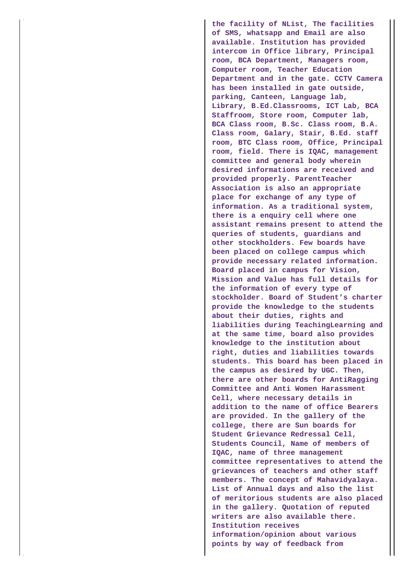**the facility of NList, The facilities of SMS, whatsapp and Email are also available. Institution has provided intercom in Office library, Principal room, BCA Department, Managers room, Computer room, Teacher Education Department and in the gate. CCTV Camera has been installed in gate outside, parking, Canteen, Language lab, Library, B.Ed.Classrooms, ICT Lab, BCA Staffroom, Store room, Computer lab, BCA Class room, B.Sc. Class room, B.A. Class room, Galary, Stair, B.Ed. staff room, BTC Class room, Office, Principal room, field. There is IQAC, management committee and general body wherein desired informations are received and provided properly. ParentTeacher Association is also an appropriate place for exchange of any type of information. As a traditional system, there is a enquiry cell where one assistant remains present to attend the queries of students, guardians and other stockholders. Few boards have been placed on college campus which provide necessary related information. Board placed in campus for Vision, Mission and Value has full details for the information of every type of stockholder. Board of Student's charter provide the knowledge to the students about their duties, rights and liabilities during TeachingLearning and at the same time, board also provides knowledge to the institution about right, duties and liabilities towards students. This board has been placed in the campus as desired by UGC. Then, there are other boards for AntiRagging Committee and Anti Women Harassment Cell, where necessary details in addition to the name of office Bearers are provided. In the gallery of the college, there are Sun boards for Student Grievance Redressal Cell, Students Council, Name of members of IQAC, name of three management committee representatives to attend the grievances of teachers and other staff members. The concept of Mahavidyalaya. List of Annual days and also the list of meritorious students are also placed in the gallery. Quotation of reputed writers are also available there. Institution receives information/opinion about various points by way of feedback from**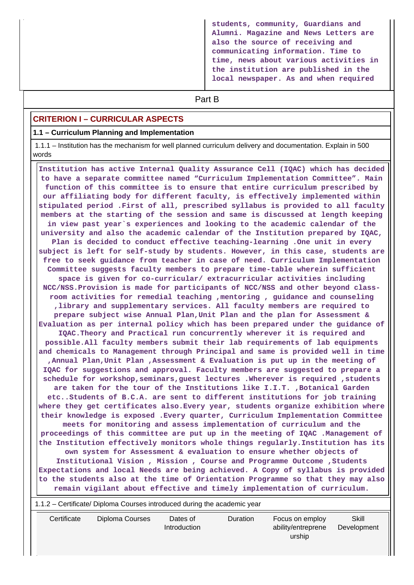**students, community, Guardians and Alumni. Magazine and News Letters are also the source of receiving and communicating information. Time to time, news about various activities in the institution are published in the local newspaper. As and when required**

# **Part B**

#### **CRITERION I – CURRICULAR ASPECTS**

#### **1.1 – Curriculum Planning and Implementation**

 1.1.1 – Institution has the mechanism for well planned curriculum delivery and documentation. Explain in 500 words

 **Institution has active Internal Quality Assurance Cell (IQAC) which has decided to have a separate committee named "Curriculum Implementation Committee". Main function of this committee is to ensure that entire curriculum prescribed by our affiliating body for different faculty, is effectively implemented within stipulated period .First of all, prescribed syllabus is provided to all faculty members at the starting of the session and same is discussed at length keeping in view past year`s experiences and looking to the academic calendar of the university and also the academic calendar of the Institution prepared by IQAC, Plan is decided to conduct effective teaching-learning .One unit in every subject is left for self-study by students. However, in this case, students are free to seek guidance from teacher in case of need. Curriculum Implementation Committee suggests faculty members to prepare time-table wherein sufficient space is given for co-curricular/ extracurricular activities including NCC/NSS.Provision is made for participants of NCC/NSS and other beyond classroom activities for remedial teaching ,mentoring , guidance and counseling ,library and supplementary services. All faculty members are required to prepare subject wise Annual Plan,Unit Plan and the plan for Assessment & Evaluation as per internal policy which has been prepared under the guidance of IQAC.Theory and Practical run concurrently wherever it is required and possible.All faculty members submit their lab requirements of lab equipments and chemicals to Management through Principal and same is provided well in time ,Annual Plan,Unit Plan ,Assessment & Evaluation is put up in the meeting of IQAC for suggestions and approval. Faculty members are suggested to prepare a schedule for workshop,seminars,guest lectures .Wherever is required ,students are taken for the tour of the Institutions like I.I.T. ,Botanical Garden etc..Students of B.C.A. are sent to different institutions for job training where they get certificates also.Every year, students organize exhibition where their knowledge is exposed .Every quarter, Curriculum Implementation Committee meets for monitoring and assess implementation of curriculum and the proceedings of this committee are put up in the meeting of IQAC .Management of the Institution effectively monitors whole things regularly.Institution has its own system for Assessment & evaluation to ensure whether objects of Institutional Vision , Mission , Course and Programme Outcome ,Students Expectations and local Needs are being achieved. A Copy of syllabus is provided to the students also at the time of Orientation Programme so that they may also remain vigilant about effective and timely implementation of curriculum.** 1.1.2 – Certificate/ Diploma Courses introduced during the academic year

| Certificate | Diploma Courses | Dates of     | Duration | Focus on employ    | Skill       |
|-------------|-----------------|--------------|----------|--------------------|-------------|
|             |                 | Introduction |          | ability/entreprene | Development |
|             |                 |              |          | urship             |             |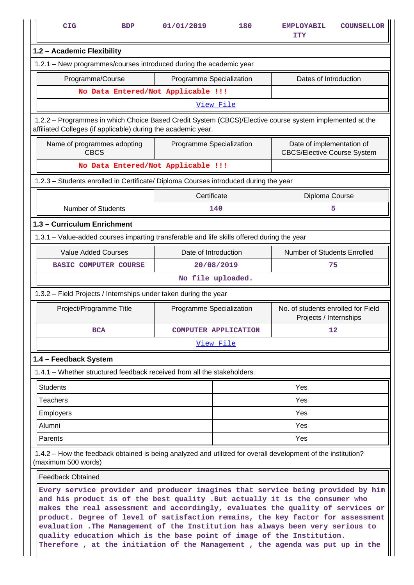|                             | <b>CIG</b>                                                                                                                                                               | <b>BDP</b>                                         | 01/01/2019                         | 180                         | <b>EMPLOYABIL</b><br>ITY                                        | <b>COUNSELLOR</b> |  |  |  |
|-----------------------------|--------------------------------------------------------------------------------------------------------------------------------------------------------------------------|----------------------------------------------------|------------------------------------|-----------------------------|-----------------------------------------------------------------|-------------------|--|--|--|
|                             | 1.2 - Academic Flexibility                                                                                                                                               |                                                    |                                    |                             |                                                                 |                   |  |  |  |
|                             | 1.2.1 - New programmes/courses introduced during the academic year                                                                                                       |                                                    |                                    |                             |                                                                 |                   |  |  |  |
|                             | Programme/Course<br>Programme Specialization                                                                                                                             |                                                    |                                    | Dates of Introduction       |                                                                 |                   |  |  |  |
|                             |                                                                                                                                                                          |                                                    | No Data Entered/Not Applicable !!! |                             |                                                                 |                   |  |  |  |
|                             |                                                                                                                                                                          |                                                    | View File                          |                             |                                                                 |                   |  |  |  |
|                             | 1.2.2 - Programmes in which Choice Based Credit System (CBCS)/Elective course system implemented at the<br>affiliated Colleges (if applicable) during the academic year. |                                                    |                                    |                             |                                                                 |                   |  |  |  |
|                             | Name of programmes adopting<br><b>CBCS</b>                                                                                                                               |                                                    | Programme Specialization           |                             | Date of implementation of<br><b>CBCS/Elective Course System</b> |                   |  |  |  |
|                             |                                                                                                                                                                          |                                                    | No Data Entered/Not Applicable !!! |                             |                                                                 |                   |  |  |  |
|                             | 1.2.3 - Students enrolled in Certificate/ Diploma Courses introduced during the year                                                                                     |                                                    |                                    |                             |                                                                 |                   |  |  |  |
|                             |                                                                                                                                                                          |                                                    | Certificate                        |                             | Diploma Course                                                  |                   |  |  |  |
|                             | <b>Number of Students</b>                                                                                                                                                |                                                    | 140                                |                             | 5                                                               |                   |  |  |  |
| 1.3 - Curriculum Enrichment |                                                                                                                                                                          |                                                    |                                    |                             |                                                                 |                   |  |  |  |
|                             | 1.3.1 - Value-added courses imparting transferable and life skills offered during the year                                                                               |                                                    |                                    |                             |                                                                 |                   |  |  |  |
|                             |                                                                                                                                                                          | <b>Value Added Courses</b><br>Date of Introduction |                                    | Number of Students Enrolled |                                                                 |                   |  |  |  |
|                             | <b>BASIC COMPUTER COURSE</b>                                                                                                                                             |                                                    | 20/08/2019                         |                             | 75                                                              |                   |  |  |  |
|                             |                                                                                                                                                                          |                                                    | No file uploaded.                  |                             |                                                                 |                   |  |  |  |
|                             | 1.3.2 - Field Projects / Internships under taken during the year                                                                                                         |                                                    |                                    |                             |                                                                 |                   |  |  |  |
|                             | Project/Programme Title                                                                                                                                                  |                                                    | Programme Specialization           |                             | No. of students enrolled for Field<br>Projects / Internships    |                   |  |  |  |
|                             | <b>BCA</b>                                                                                                                                                               |                                                    | COMPUTER APPLICATION               |                             | 12                                                              |                   |  |  |  |
|                             |                                                                                                                                                                          |                                                    | <u>View File</u>                   |                             |                                                                 |                   |  |  |  |
|                             | 1.4 - Feedback System                                                                                                                                                    |                                                    |                                    |                             |                                                                 |                   |  |  |  |
|                             | 1.4.1 – Whether structured feedback received from all the stakeholders.                                                                                                  |                                                    |                                    |                             |                                                                 |                   |  |  |  |
|                             | <b>Students</b>                                                                                                                                                          |                                                    |                                    |                             | Yes                                                             |                   |  |  |  |
|                             | <b>Teachers</b>                                                                                                                                                          |                                                    |                                    |                             | Yes                                                             |                   |  |  |  |
|                             | <b>Employers</b>                                                                                                                                                         |                                                    |                                    | Yes                         |                                                                 |                   |  |  |  |
|                             | Alumni                                                                                                                                                                   |                                                    | Yes                                |                             |                                                                 |                   |  |  |  |
|                             | Parents                                                                                                                                                                  |                                                    |                                    |                             | Yes                                                             |                   |  |  |  |
|                             | 1.4.2 – How the feedback obtained is being analyzed and utilized for overall development of the institution?<br>(maximum 500 words)                                      |                                                    |                                    |                             |                                                                 |                   |  |  |  |
|                             | <b>Feedback Obtained</b>                                                                                                                                                 |                                                    |                                    |                             |                                                                 |                   |  |  |  |
|                             | Every service provider and producer imagines that service being provided by him<br>and his product is of the best quality .But actually it is the consumer who           |                                                    |                                    |                             |                                                                 |                   |  |  |  |

**makes the real assessment and accordingly, evaluates the quality of services or product. Degree of level of satisfaction remains, the key factor for assessment evaluation .The Management of the Institution has always been very serious to quality education which is the base point of image of the Institution. Therefore , at the initiation of the Management , the agenda was put up in the**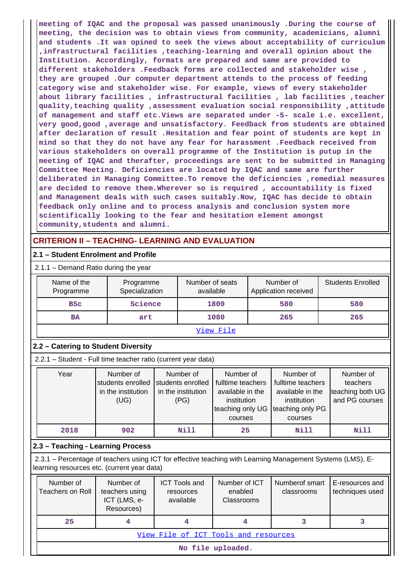**meeting of IQAC and the proposal was passed unanimously .During the course of meeting, the decision was to obtain views from community, academicians, alumni and students .It was opined to seek the views about acceptability of curriculum ,infrastructural facilities ,teaching-learning and overall opinion about the Institution. Accordingly, formats are prepared and same are provided to different stakeholders .Feedback forms are collected and stakeholder wise , they are grouped .Our computer department attends to the process of feeding category wise and stakeholder wise. For example, views of every stakeholder about library facilities , infrastructural facilities , lab facilities ,teacher quality,teaching quality ,assessment evaluation social responsibility ,attitude of management and staff etc.Views are separated under -5- scale i.e. excellent, very good,good ,average and unsatisfactory. Feedback from students are obtained after declaration of result .Hesitation and fear point of students are kept in mind so that they do not have any fear for harassment .Feedback received from various stakeholders on overall programme of the Institution is putup in the meeting of IQAC and therafter, proceedings are sent to be submitted in Managing Committee Meeting. Deficiencies are located by IQAC and same are further deliberated in Managing Committee.To remove the deficiencies ,remedial measures are decided to remove them.Wherever so is required , accountability is fixed and Management deals with such cases suitably.Now, IQAC has decide to obtain feedback only online and to process analysis and conclusion system more scientifically looking to the fear and hesitation element amongst community,students and alumni.**

# **CRITERION II – TEACHING- LEARNING AND EVALUATION**

## **2.1 – Student Enrolment and Profile**

2.1.1 – Demand Ratio during the year

| Name of the<br>Programme | Programme<br>Specialization | Number of seats<br>available | Number of<br>Application received | <b>Students Enrolled</b> |
|--------------------------|-----------------------------|------------------------------|-----------------------------------|--------------------------|
| <b>BSC</b>               | Science                     | 1800                         | 580                               | 580                      |
| <b>BA</b>                | art                         | 1080                         | 265                               | 265                      |

# View File

## **2.2 – Catering to Student Diversity**

2.2.1 – Student - Full time teacher ratio (current year data)

| Year | Number of          | Number of          | Number of                         | Number of         | Number of        |
|------|--------------------|--------------------|-----------------------------------|-------------------|------------------|
|      | students enrolled  | students enrolled  | fulltime teachers                 | fulltime teachers | teachers         |
|      | in the institution | in the institution | available in the                  | available in the  | teaching both UG |
|      | (UG)               | (PG)               | institution                       | institution       | and PG courses   |
|      |                    |                    | teaching only UG teaching only PG |                   |                  |
|      |                    |                    | courses                           | courses           |                  |
| 2018 | 902                | Nill               | 25                                | Nill              | Nill             |

## **2.3 – Teaching - Learning Process**

 2.3.1 – Percentage of teachers using ICT for effective teaching with Learning Management Systems (LMS), Elearning resources etc. (current year data)

| Number of<br>Teachers on Roll | Number of<br>teachers using<br>ICT (LMS, e-<br>Resources) | <b>ICT Tools and</b><br>resources<br>available | Number of ICT<br>enabled<br>Classrooms | Numberof smart<br>classrooms | E-resources and<br>techniques used |  |  |  |
|-------------------------------|-----------------------------------------------------------|------------------------------------------------|----------------------------------------|------------------------------|------------------------------------|--|--|--|
| 25 <sub>1</sub>               |                                                           |                                                | 4                                      |                              |                                    |  |  |  |
|                               | View File of ICT Tools and resources                      |                                                |                                        |                              |                                    |  |  |  |
|                               | No file uploaded.                                         |                                                |                                        |                              |                                    |  |  |  |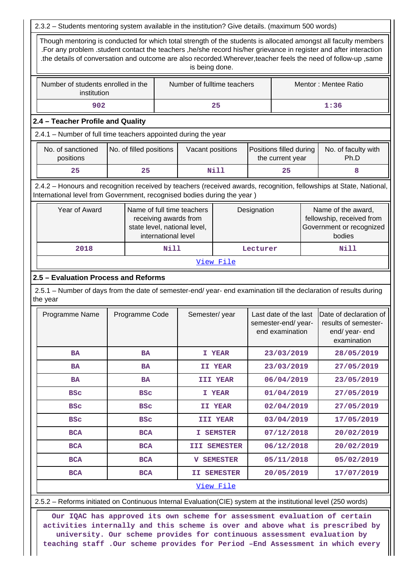|                                                                                                                                                                                                |                                                                                                          |                     |                                                                                     | is being done.    |                                                                                                      |                                                                |  | the details of conversation and outcome are also recorded. Wherever, teacher feels the need of follow-up, same |
|------------------------------------------------------------------------------------------------------------------------------------------------------------------------------------------------|----------------------------------------------------------------------------------------------------------|---------------------|-------------------------------------------------------------------------------------|-------------------|------------------------------------------------------------------------------------------------------|----------------------------------------------------------------|--|----------------------------------------------------------------------------------------------------------------|
|                                                                                                                                                                                                | Number of students enrolled in the<br>Number of fulltime teachers<br>Mentor: Mentee Ratio<br>institution |                     |                                                                                     |                   |                                                                                                      |                                                                |  |                                                                                                                |
| 1:36<br>902<br>25                                                                                                                                                                              |                                                                                                          |                     |                                                                                     |                   |                                                                                                      |                                                                |  |                                                                                                                |
| 2.4 - Teacher Profile and Quality                                                                                                                                                              |                                                                                                          |                     |                                                                                     |                   |                                                                                                      |                                                                |  |                                                                                                                |
| 2.4.1 - Number of full time teachers appointed during the year                                                                                                                                 |                                                                                                          |                     |                                                                                     |                   |                                                                                                      |                                                                |  |                                                                                                                |
| No. of sanctioned<br>No. of filled positions<br>Positions filled during<br>No. of faculty with<br>Vacant positions<br>positions<br>Ph.D<br>the current year                                    |                                                                                                          |                     |                                                                                     |                   |                                                                                                      |                                                                |  |                                                                                                                |
| 25                                                                                                                                                                                             | 25                                                                                                       |                     |                                                                                     | <b>Nill</b>       |                                                                                                      | 25                                                             |  | 8                                                                                                              |
| 2.4.2 - Honours and recognition received by teachers (received awards, recognition, fellowships at State, National,<br>International level from Government, recognised bodies during the year) |                                                                                                          |                     |                                                                                     |                   |                                                                                                      |                                                                |  |                                                                                                                |
| Year of Award                                                                                                                                                                                  |                                                                                                          | international level | Name of full time teachers<br>receiving awards from<br>state level, national level, |                   | Name of the award,<br>Designation<br>fellowship, received from<br>Government or recognized<br>bodies |                                                                |  |                                                                                                                |
| 2018                                                                                                                                                                                           |                                                                                                          | Nill                |                                                                                     |                   | <b>Nill</b><br>Lecturer                                                                              |                                                                |  |                                                                                                                |
|                                                                                                                                                                                                |                                                                                                          |                     |                                                                                     | View File         |                                                                                                      |                                                                |  |                                                                                                                |
| 2.5 - Evaluation Process and Reforms<br>2.5.1 - Number of days from the date of semester-end/ year- end examination till the declaration of results during<br>the year<br>Programme Name       | Programme Code                                                                                           |                     | Semester/year                                                                       |                   |                                                                                                      | Last date of the last<br>semester-end/year-<br>end examination |  | Date of declaration of<br>results of semester-<br>end/ year- end<br>examination                                |
| <b>BA</b>                                                                                                                                                                                      | BA                                                                                                       |                     |                                                                                     | I YEAR            |                                                                                                      | 23/03/2019                                                     |  | 28/05/2019                                                                                                     |
| <b>BA</b>                                                                                                                                                                                      | <b>BA</b>                                                                                                |                     |                                                                                     | II YEAR           |                                                                                                      | 23/03/2019                                                     |  | 27/05/2019                                                                                                     |
| BA                                                                                                                                                                                             | <b>BA</b>                                                                                                |                     |                                                                                     | III YEAR          |                                                                                                      | 06/04/2019                                                     |  | 23/05/2019                                                                                                     |
| <b>BSC</b>                                                                                                                                                                                     | <b>BSC</b>                                                                                               |                     |                                                                                     | I YEAR            |                                                                                                      | 01/04/2019                                                     |  | 27/05/2019                                                                                                     |
| <b>BSC</b>                                                                                                                                                                                     | <b>BSC</b>                                                                                               |                     |                                                                                     | II YEAR           |                                                                                                      | 02/04/2019                                                     |  | 27/05/2019                                                                                                     |
| <b>BSC</b>                                                                                                                                                                                     | <b>BSC</b>                                                                                               |                     |                                                                                     | III YEAR          |                                                                                                      | 03/04/2019                                                     |  | 17/05/2019                                                                                                     |
| <b>BCA</b>                                                                                                                                                                                     | <b>BCA</b>                                                                                               |                     |                                                                                     | I SEMSTER         |                                                                                                      | 07/12/2018                                                     |  | 20/02/2019                                                                                                     |
| <b>BCA</b>                                                                                                                                                                                     | <b>BCA</b>                                                                                               |                     |                                                                                     | III SEMESTER      |                                                                                                      | 06/12/2018                                                     |  | 20/02/2019                                                                                                     |
| <b>BCA</b>                                                                                                                                                                                     | <b>BCA</b>                                                                                               |                     |                                                                                     | <b>V SEMESTER</b> |                                                                                                      | 05/11/2018                                                     |  | 05/02/2019                                                                                                     |
| 20/05/2019<br>17/07/2019<br><b>BCA</b><br><b>BCA</b><br>II SEMESTER                                                                                                                            |                                                                                                          |                     |                                                                                     |                   |                                                                                                      |                                                                |  |                                                                                                                |
|                                                                                                                                                                                                |                                                                                                          |                     |                                                                                     |                   |                                                                                                      |                                                                |  |                                                                                                                |

**activities internally and this scheme is over and above what is prescribed by university. Our scheme provides for continuous assessment evaluation by teaching staff .Our scheme provides for Period –End Assessment in which every**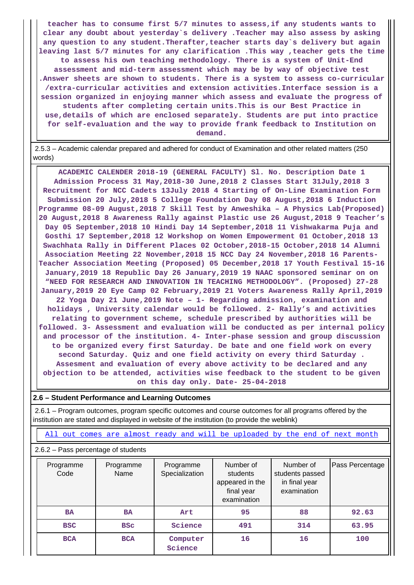**teacher has to consume first 5/7 minutes to assess,if any students wants to clear any doubt about yesterday`s delivery .Teacher may also assess by asking any question to any student.Therafter,teacher starts day`s delivery but again leaving last 5/7 minutes for any clarification .This way ,teacher gets the time to assess his own teaching methodology. There is a system of Unit-End assessment and mid-term assessment which may be by way of objective test .Answer sheets are shown to students. There is a system to assess co-curricular /extra-curricular activities and extension activities.Interface session is a session organized in enjoying manner which assess and evaluate the progress of students after completing certain units.This is our Best Practice in use,details of which are enclosed separately. Students are put into practice for self-evaluation and the way to provide frank feedback to Institution on demand.**

 2.5.3 – Academic calendar prepared and adhered for conduct of Examination and other related matters (250 words)

 **ACADEMIC CALENDER 2018-19 (GENERAL FACULTY) Sl. No. Description Date 1 Admission Process 31 May,2018-30 June,2018 2 Classes Start 31July,2018 3 Recruitment for NCC Cadets 13July 2018 4 Starting of On-Line Examination Form Submission 20 July,2018 5 College Foundation Day 08 August,2018 6 Induction Programme 08-09 August,2018 7 Skill Test by Anweshika – A Physics Lab(Proposed) 20 August,2018 8 Awareness Rally against Plastic use 26 August,2018 9 Teacher's Day 05 September,2018 10 Hindi Day 14 September,2018 11 Vishwakarma Puja and Gosthi 17 September,2018 12 Workshop on Women Empowerment 01 October,2018 13 Swachhata Rally in Different Places 02 October,2018-15 October,2018 14 Alumni Association Meeting 22 November,2018 15 NCC Day 24 November,2018 16 Parents-Teacher Association Meeting (Proposed) 05 December,2018 17 Youth Festival 15-16 January,2019 18 Republic Day 26 January,2019 19 NAAC sponsored seminar on on "NEED FOR RESEARCH AND INNOVATION IN TEACHING METHODOLOGY". (Proposed) 27-28 January,2019 20 Eye Camp 02 February,2019 21 Voters Awareness Rally April,2019 22 Yoga Day 21 June,2019 Note – 1- Regarding admission, examination and holidays , University calendar would be followed. 2- Rally's and activities relating to government scheme, schedule prescribed by authorities will be followed. 3- Assessment and evaluation will be conducted as per internal policy and processor of the institution. 4- Inter-phase session and group discussion to be organized every first Saturday. De bate and one field work on every second Saturday. Quiz and one field activity on every third Saturday . Assesment and evaluation of every above activity to be declared and any objection to be attended, activities wise feedback to the student to be given on this day only. Date- 25-04-2018**

**2.6 – Student Performance and Learning Outcomes**

 2.6.1 – Program outcomes, program specific outcomes and course outcomes for all programs offered by the institution are stated and displayed in website of the institution (to provide the weblink)

All out comes are almost ready and will be uploaded by the end of next month

2.6.2 – Pass percentage of students

| Programme<br>Code | Programme<br>Name | Programme<br>Specialization | Number of<br>students<br>appeared in the<br>final year<br>examination | Number of<br>students passed<br>in final year<br>examination | Pass Percentage |
|-------------------|-------------------|-----------------------------|-----------------------------------------------------------------------|--------------------------------------------------------------|-----------------|
| <b>BA</b>         | <b>BA</b>         | Art                         | 95                                                                    | 88                                                           | 92.63           |
| <b>BSC</b>        | <b>BSC</b>        | Science                     | 491                                                                   | 314                                                          | 63.95           |
| <b>BCA</b>        | <b>BCA</b>        | Computer<br>Science         | 16                                                                    | 16                                                           | 100             |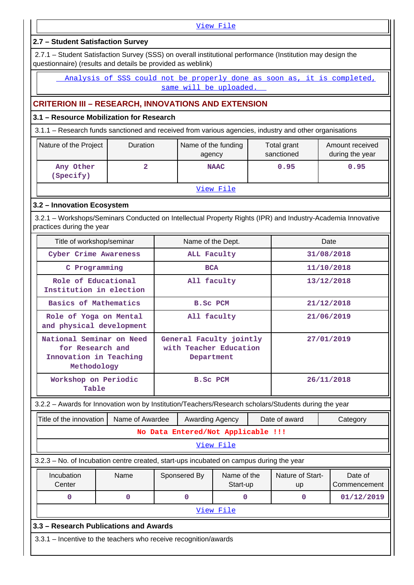View File

# **2.7 – Student Satisfaction Survey**

 2.7.1 – Student Satisfaction Survey (SSS) on overall institutional performance (Institution may design the questionnaire) (results and details be provided as weblink)

 Analysis of SSS could not be properly done as soon as, it is completed, same will be uploaded.

# **CRITERION III – RESEARCH, INNOVATIONS AND EXTENSION**

## **3.1 – Resource Mobilization for Research**

3.1.1 – Research funds sanctioned and received from various agencies, industry and other organisations

| Nature of the Project  | <b>Duration</b> | Name of the funding<br>agency | Total grant<br>sanctioned | Amount received<br>during the year |
|------------------------|-----------------|-------------------------------|---------------------------|------------------------------------|
| Any Other<br>(Specify) |                 | <b>NAAC</b>                   | 0.95                      | 0.95                               |
|                        |                 | ___<br>---                    |                           |                                    |

#### View File

## **3.2 – Innovation Ecosystem**

 3.2.1 – Workshops/Seminars Conducted on Intellectual Property Rights (IPR) and Industry-Academia Innovative practices during the year

| Title of workshop/seminar                                                             | Name of the Dept.                                               | Date       |
|---------------------------------------------------------------------------------------|-----------------------------------------------------------------|------------|
| Cyber Crime Awareness                                                                 | ALL Faculty                                                     | 31/08/2018 |
| C Programming                                                                         | <b>BCA</b>                                                      | 11/10/2018 |
| Role of Educational<br>Institution in election                                        | All faculty                                                     | 13/12/2018 |
| Basics of Mathematics                                                                 | <b>B.SC PCM</b>                                                 | 21/12/2018 |
| Role of Yoga on Mental<br>and physical development                                    | All faculty                                                     | 21/06/2019 |
| National Seminar on Need<br>for Research and<br>Innovation in Teaching<br>Methodology | General Faculty jointly<br>with Teacher Education<br>Department | 27/01/2019 |
| Workshop on Periodic<br>Table                                                         | <b>B.SC PCM</b>                                                 | 26/11/2018 |

3.2.2 – Awards for Innovation won by Institution/Teachers/Research scholars/Students during the year

| Title of the innovation<br>Name of Awardee<br>Date of award<br><b>Awarding Agency</b><br>Category                                   |   |  |   |           |  |   |  |            |
|-------------------------------------------------------------------------------------------------------------------------------------|---|--|---|-----------|--|---|--|------------|
| No Data Entered/Not Applicable !!!                                                                                                  |   |  |   |           |  |   |  |            |
| View File                                                                                                                           |   |  |   |           |  |   |  |            |
| 3.2.3 - No. of Incubation centre created, start-ups incubated on campus during the year                                             |   |  |   |           |  |   |  |            |
| Nature of Start-<br>Incubation<br>Name of the<br>Date of<br>Name<br>Sponsered By<br>Center<br>Start-up<br>Commencement<br><b>up</b> |   |  |   |           |  |   |  |            |
| O                                                                                                                                   | 0 |  | 0 | O         |  | 0 |  | 01/12/2019 |
|                                                                                                                                     |   |  |   | View File |  |   |  |            |
| 3.3 – Research Publications and Awards                                                                                              |   |  |   |           |  |   |  |            |
| 3.3.1 – Incentive to the teachers who receive recognition/awards                                                                    |   |  |   |           |  |   |  |            |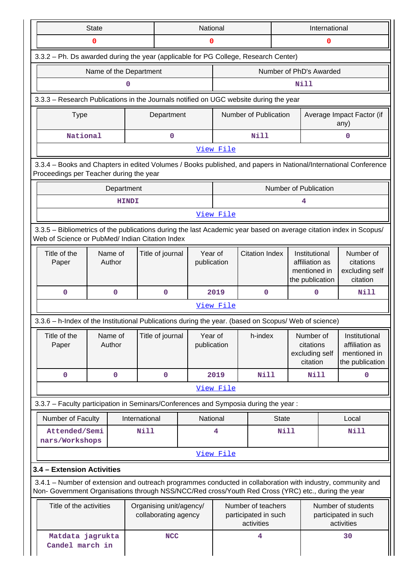|                                                                                                                                                                                                                    | <b>State</b><br><b>National</b><br>International                                                                                                           |               |                                                 |                        |           |                                                          |                                                            |                                                                                                          |  |                                                                    |
|--------------------------------------------------------------------------------------------------------------------------------------------------------------------------------------------------------------------|------------------------------------------------------------------------------------------------------------------------------------------------------------|---------------|-------------------------------------------------|------------------------|-----------|----------------------------------------------------------|------------------------------------------------------------|----------------------------------------------------------------------------------------------------------|--|--------------------------------------------------------------------|
|                                                                                                                                                                                                                    | 0                                                                                                                                                          |               | 0                                               |                        |           | 0                                                        |                                                            |                                                                                                          |  |                                                                    |
| 3.3.2 - Ph. Ds awarded during the year (applicable for PG College, Research Center)                                                                                                                                |                                                                                                                                                            |               |                                                 |                        |           |                                                          |                                                            |                                                                                                          |  |                                                                    |
|                                                                                                                                                                                                                    | Name of the Department                                                                                                                                     |               |                                                 |                        |           |                                                          |                                                            | Number of PhD's Awarded                                                                                  |  |                                                                    |
|                                                                                                                                                                                                                    |                                                                                                                                                            | 0             |                                                 |                        |           |                                                          |                                                            | Nill                                                                                                     |  |                                                                    |
| 3.3.3 - Research Publications in the Journals notified on UGC website during the year                                                                                                                              |                                                                                                                                                            |               |                                                 |                        |           |                                                          |                                                            |                                                                                                          |  |                                                                    |
| <b>Type</b>                                                                                                                                                                                                        |                                                                                                                                                            |               | Department                                      |                        |           |                                                          | Number of Publication<br>Average Impact Factor (if<br>any) |                                                                                                          |  |                                                                    |
| National<br>Nill<br>$\mathbf 0$<br>$\mathbf 0$                                                                                                                                                                     |                                                                                                                                                            |               |                                                 |                        |           |                                                          |                                                            |                                                                                                          |  |                                                                    |
| View File                                                                                                                                                                                                          |                                                                                                                                                            |               |                                                 |                        |           |                                                          |                                                            |                                                                                                          |  |                                                                    |
|                                                                                                                                                                                                                    | 3.3.4 - Books and Chapters in edited Volumes / Books published, and papers in National/International Conference<br>Proceedings per Teacher during the year |               |                                                 |                        |           |                                                          |                                                            |                                                                                                          |  |                                                                    |
|                                                                                                                                                                                                                    | Department                                                                                                                                                 |               |                                                 |                        |           |                                                          |                                                            | Number of Publication                                                                                    |  |                                                                    |
|                                                                                                                                                                                                                    |                                                                                                                                                            | <b>HINDI</b>  |                                                 |                        |           |                                                          |                                                            | 4                                                                                                        |  |                                                                    |
|                                                                                                                                                                                                                    |                                                                                                                                                            |               |                                                 |                        | View File |                                                          |                                                            |                                                                                                          |  |                                                                    |
| 3.3.5 - Bibliometrics of the publications during the last Academic year based on average citation index in Scopus/<br>Web of Science or PubMed/ Indian Citation Index                                              |                                                                                                                                                            |               |                                                 |                        |           |                                                          |                                                            |                                                                                                          |  |                                                                    |
| Title of the<br>Paper                                                                                                                                                                                              | Name of<br>Author                                                                                                                                          |               | Title of journal                                | Year of<br>publication |           | <b>Citation Index</b>                                    |                                                            | Number of<br>Institutional<br>affiliation as<br>citations<br>mentioned in<br>citation<br>the publication |  | excluding self                                                     |
| $\mathbf 0$                                                                                                                                                                                                        | $\mathbf 0$                                                                                                                                                |               | $\Omega$                                        |                        | 2019      | $\mathbf 0$                                              | Nill<br>0                                                  |                                                                                                          |  |                                                                    |
|                                                                                                                                                                                                                    |                                                                                                                                                            |               |                                                 |                        | View File |                                                          |                                                            |                                                                                                          |  |                                                                    |
| 3.3.6 - h-Index of the Institutional Publications during the year. (based on Scopus/ Web of science)                                                                                                               |                                                                                                                                                            |               |                                                 |                        |           |                                                          |                                                            |                                                                                                          |  |                                                                    |
| Title of the<br>Paper                                                                                                                                                                                              | Name of<br>Author                                                                                                                                          |               | Title of journal                                | Year of<br>publication |           | h-index                                                  |                                                            | Number of<br>citations<br>excluding self<br>citation                                                     |  | Institutional<br>affiliation as<br>mentioned in<br>the publication |
| $\mathbf 0$                                                                                                                                                                                                        | $\mathbf 0$                                                                                                                                                |               | $\mathbf 0$                                     |                        | 2019      | <b>Nill</b>                                              |                                                            | Nill                                                                                                     |  | 0                                                                  |
|                                                                                                                                                                                                                    |                                                                                                                                                            |               |                                                 |                        | View File |                                                          |                                                            |                                                                                                          |  |                                                                    |
| 3.3.7 - Faculty participation in Seminars/Conferences and Symposia during the year:                                                                                                                                |                                                                                                                                                            |               |                                                 |                        |           |                                                          |                                                            |                                                                                                          |  |                                                                    |
| Number of Faculty                                                                                                                                                                                                  |                                                                                                                                                            | International |                                                 | National               |           |                                                          | <b>State</b>                                               |                                                                                                          |  | Local                                                              |
| Attended/Semi<br>nars/Workshops                                                                                                                                                                                    |                                                                                                                                                            | Nill          |                                                 |                        | 4         |                                                          | <b>Nill</b>                                                |                                                                                                          |  | <b>Nill</b>                                                        |
|                                                                                                                                                                                                                    |                                                                                                                                                            |               |                                                 |                        | View File |                                                          |                                                            |                                                                                                          |  |                                                                    |
| 3.4 - Extension Activities                                                                                                                                                                                         |                                                                                                                                                            |               |                                                 |                        |           |                                                          |                                                            |                                                                                                          |  |                                                                    |
| 3.4.1 – Number of extension and outreach programmes conducted in collaboration with industry, community and<br>Non- Government Organisations through NSS/NCC/Red cross/Youth Red Cross (YRC) etc., during the year |                                                                                                                                                            |               |                                                 |                        |           |                                                          |                                                            |                                                                                                          |  |                                                                    |
| Title of the activities                                                                                                                                                                                            |                                                                                                                                                            |               | Organising unit/agency/<br>collaborating agency |                        |           | Number of teachers<br>participated in such<br>activities |                                                            |                                                                                                          |  | Number of students<br>participated in such<br>activities           |
| Matdata jagrukta<br>Candel march in                                                                                                                                                                                |                                                                                                                                                            |               | <b>NCC</b>                                      |                        |           | 4                                                        |                                                            |                                                                                                          |  | 30                                                                 |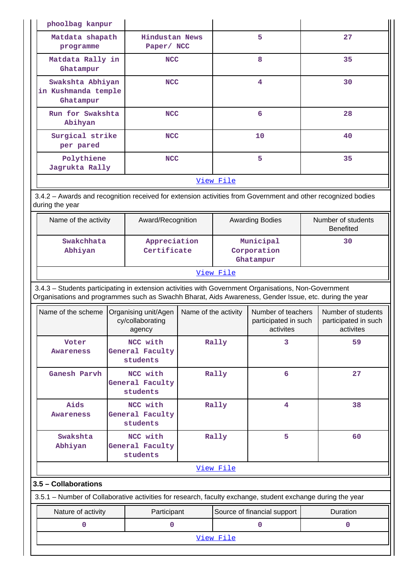| phoolbag kanpur                                                                                                                                                                                                |                                         |                                                    |                             |           |                                                         |  |                                                         |
|----------------------------------------------------------------------------------------------------------------------------------------------------------------------------------------------------------------|-----------------------------------------|----------------------------------------------------|-----------------------------|-----------|---------------------------------------------------------|--|---------------------------------------------------------|
| Matdata shapath<br>programme                                                                                                                                                                                   |                                         | <b>Hindustan News</b><br>Paper/ NCC                |                             |           | 5                                                       |  | 27                                                      |
| Matdata Rally in<br>Ghatampur                                                                                                                                                                                  |                                         | <b>NCC</b>                                         |                             |           | 8                                                       |  | 35                                                      |
| Ghatampur                                                                                                                                                                                                      | Swakshta Abhiyan<br>in Kushmanda temple |                                                    | <b>NCC</b>                  |           | 4                                                       |  | 30                                                      |
| Abihyan                                                                                                                                                                                                        | Run for Swakshta<br><b>NCC</b>          |                                                    |                             |           | 6                                                       |  | 28                                                      |
| per pared                                                                                                                                                                                                      | Surgical strike<br><b>NCC</b>           |                                                    |                             |           | 10                                                      |  | 40                                                      |
| Polythiene<br>Jagrukta Rally                                                                                                                                                                                   |                                         | <b>NCC</b>                                         |                             |           | 5                                                       |  | 35                                                      |
|                                                                                                                                                                                                                |                                         |                                                    |                             | View File |                                                         |  |                                                         |
| 3.4.2 - Awards and recognition received for extension activities from Government and other recognized bodies<br>during the year                                                                                |                                         |                                                    |                             |           |                                                         |  |                                                         |
| Name of the activity                                                                                                                                                                                           |                                         | Award/Recognition                                  |                             |           | <b>Awarding Bodies</b>                                  |  | Number of students<br><b>Benefited</b>                  |
| Abhiyan                                                                                                                                                                                                        | Swakchhata                              |                                                    | Appreciation<br>Certificate |           | Municipal<br>Corporation<br>Ghatampur                   |  | 30                                                      |
|                                                                                                                                                                                                                | View File                               |                                                    |                             |           |                                                         |  |                                                         |
| 3.4.3 - Students participating in extension activities with Government Organisations, Non-Government<br>Organisations and programmes such as Swachh Bharat, Aids Awareness, Gender Issue, etc. during the year |                                         |                                                    |                             |           |                                                         |  |                                                         |
| Name of the scheme                                                                                                                                                                                             |                                         | Organising unit/Agen<br>cy/collaborating<br>agency | Name of the activity        |           | Number of teachers<br>participated in such<br>activites |  | Number of students<br>participated in such<br>activites |
| Voter<br>Awareness                                                                                                                                                                                             |                                         | NCC with<br>General Faculty<br>students            |                             | Rally     | 3                                                       |  | 59                                                      |
| Ganesh Parvh                                                                                                                                                                                                   |                                         | NCC with<br>General Faculty<br>students            |                             | Rally     | 6                                                       |  | 27                                                      |
| Aids<br><b>Awareness</b>                                                                                                                                                                                       |                                         | NCC with<br>General Faculty<br>students            |                             | Rally     | 4                                                       |  | 38                                                      |
| Swakshta<br>Abhiyan                                                                                                                                                                                            |                                         | NCC with<br>General Faculty<br>students            |                             | Rally     | 5                                                       |  | 60                                                      |
|                                                                                                                                                                                                                |                                         |                                                    |                             | View File |                                                         |  |                                                         |
| 3.5 - Collaborations                                                                                                                                                                                           |                                         |                                                    |                             |           |                                                         |  |                                                         |
| 3.5.1 – Number of Collaborative activities for research, faculty exchange, student exchange during the year                                                                                                    |                                         |                                                    |                             |           |                                                         |  |                                                         |
| Nature of activity                                                                                                                                                                                             |                                         | Participant                                        |                             |           | Source of financial support                             |  | Duration                                                |
| 0                                                                                                                                                                                                              |                                         | $\mathbf 0$                                        |                             |           | $\mathbf 0$                                             |  | $\mathbf 0$                                             |
|                                                                                                                                                                                                                | View File                               |                                                    |                             |           |                                                         |  |                                                         |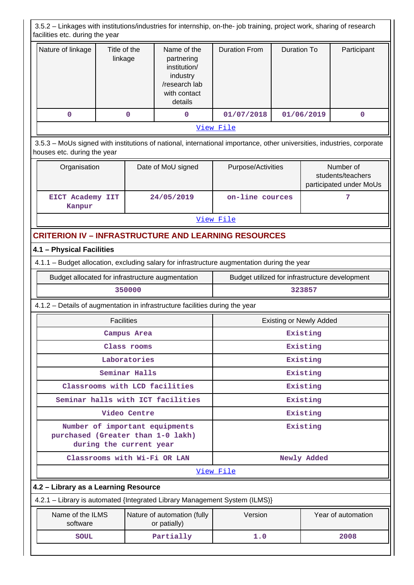3.5.2 – Linkages with institutions/industries for internship, on-the- job training, project work, sharing of research facilities etc. during the year Nature of linkage  $\parallel$  Title of the linkage Name of the partnering institution/ industry /research lab with contact details Duration From | Duration To | Participant  **0 0 0 01/07/2018 01/06/2019 0** View File 3.5.3 – MoUs signed with institutions of national, international importance, other universities, industries, corporate houses etc. during the year Organisation | Date of MoU signed | Purpose/Activities | Number of students/teachers participated under MoUs  **EICT Academy IIT Kanpur 24/05/2019 on-line cources 7** View File **CRITERION IV – INFRASTRUCTURE AND LEARNING RESOURCES 4.1 – Physical Facilities** 4.1.1 – Budget allocation, excluding salary for infrastructure augmentation during the year Budget allocated for infrastructure augmentation Budget utilized for infrastructure development  **350000 323857** 4.1.2 – Details of augmentation in infrastructure facilities during the year Facilities **Existing or Newly Added Campus Area Existing Class rooms Existing** Laboratories **Existing Seminar Halls Existing Classrooms with LCD facilities Existing Seminar halls with ICT facilities Existing Video Centre Existing Number of important equipments purchased (Greater than 1-0 lakh) during the current year Existing Classrooms with Wi-Fi OR LAN Newly Added**  View File **4.2 – Library as a Learning Resource** 4.2.1 – Library is automated {Integrated Library Management System (ILMS)} Name of the ILMS software Nature of automation (fully or patially) Version Year of automation  **SOUL Partially 1.0 2008**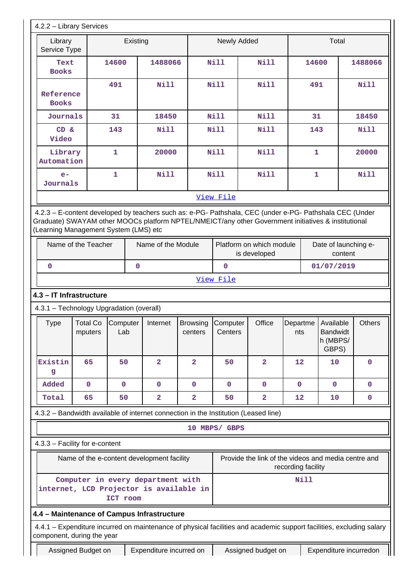| Library                                                                 |                                       | Existing        |                                                                                                                                                                                                                |                            | Newly Added                                                                 |                |                                                                           | Total                                |                              |  |
|-------------------------------------------------------------------------|---------------------------------------|-----------------|----------------------------------------------------------------------------------------------------------------------------------------------------------------------------------------------------------------|----------------------------|-----------------------------------------------------------------------------|----------------|---------------------------------------------------------------------------|--------------------------------------|------------------------------|--|
| Service Type                                                            |                                       |                 |                                                                                                                                                                                                                |                            |                                                                             |                |                                                                           |                                      |                              |  |
| Text<br><b>Books</b>                                                    |                                       | 14600           | 1488066                                                                                                                                                                                                        |                            | N11                                                                         | Nill           | 14600                                                                     |                                      | 1488066                      |  |
| Reference<br><b>Books</b>                                               |                                       | 491             | Nill                                                                                                                                                                                                           |                            | Nill                                                                        | <b>Nill</b>    | 491                                                                       |                                      | <b>Nill</b>                  |  |
| <b>Journals</b>                                                         |                                       | 31              | 18450                                                                                                                                                                                                          |                            | Nill                                                                        | <b>Nill</b>    | 31                                                                        |                                      | 18450                        |  |
| CD &<br>Video                                                           |                                       | 143             | <b>Nill</b>                                                                                                                                                                                                    |                            | Nill                                                                        | Nill           | 143                                                                       |                                      | <b>Nill</b>                  |  |
| Library<br>Automation                                                   |                                       | $\mathbf{1}$    | 20000                                                                                                                                                                                                          |                            | N <sub>i</sub> 11                                                           | <b>Nill</b>    | $\mathbf{1}$                                                              |                                      | 20000                        |  |
| $e-$<br>Journals                                                        |                                       | $\mathbf{1}$    | <b>Nill</b>                                                                                                                                                                                                    |                            | Nill                                                                        | <b>Nill</b>    | 1                                                                         |                                      | <b>Nill</b>                  |  |
|                                                                         |                                       |                 |                                                                                                                                                                                                                |                            | View File                                                                   |                |                                                                           |                                      |                              |  |
|                                                                         | (Learning Management System (LMS) etc |                 | 4.2.3 - E-content developed by teachers such as: e-PG- Pathshala, CEC (under e-PG- Pathshala CEC (Under<br>Graduate) SWAYAM other MOOCs platform NPTEL/NMEICT/any other Government initiatives & institutional |                            |                                                                             |                |                                                                           |                                      |                              |  |
|                                                                         | Name of the Teacher                   |                 | Name of the Module                                                                                                                                                                                             |                            | Platform on which module<br>Date of launching e-<br>is developed<br>content |                |                                                                           |                                      |                              |  |
| 0                                                                       |                                       | $\mathbf 0$     |                                                                                                                                                                                                                |                            | $\mathbf 0$                                                                 |                |                                                                           | 01/07/2019                           |                              |  |
|                                                                         |                                       |                 |                                                                                                                                                                                                                |                            | View File                                                                   |                |                                                                           |                                      |                              |  |
|                                                                         |                                       |                 | 4.3 - IT Infrastructure                                                                                                                                                                                        |                            |                                                                             |                |                                                                           |                                      |                              |  |
| 4.3.1 - Technology Upgradation (overall)                                |                                       |                 |                                                                                                                                                                                                                |                            |                                                                             |                |                                                                           |                                      |                              |  |
|                                                                         |                                       |                 |                                                                                                                                                                                                                |                            |                                                                             |                |                                                                           |                                      |                              |  |
| <b>Type</b>                                                             | <b>Total Co</b><br>mputers            | Computer<br>Lab | Internet                                                                                                                                                                                                       | <b>Browsing</b><br>centers | Computer<br>Centers                                                         | Office         | Departme Available<br>nts                                                 | <b>Bandwidt</b><br>h (MBPS/<br>GBPS) |                              |  |
| g                                                                       | 65                                    | 50              | $\overline{2}$                                                                                                                                                                                                 | $\overline{2}$             | 50                                                                          | $\overline{2}$ | $12 \overline{ }$                                                         | 10                                   | $\Omega$                     |  |
| Added                                                                   | $\mathbf 0$                           | $\mathbf 0$     | $\mathbf{0}$                                                                                                                                                                                                   | $\mathbf 0$                | $\mathbf{0}$                                                                | $\mathbf{0}$   | $\mathbf{0}$                                                              | $\mathbf{0}$                         | $\mathbf{0}$                 |  |
| Total                                                                   | 65                                    | 50              | $\overline{\mathbf{2}}$                                                                                                                                                                                        | 2                          | 50                                                                          | 2              | 12                                                                        | 10                                   | <b>Others</b><br>$\mathbf 0$ |  |
|                                                                         |                                       |                 | 4.3.2 - Bandwidth available of internet connection in the Institution (Leased line)                                                                                                                            |                            |                                                                             |                |                                                                           |                                      |                              |  |
|                                                                         |                                       |                 |                                                                                                                                                                                                                |                            | 10 MBPS/ GBPS                                                               |                |                                                                           |                                      |                              |  |
|                                                                         |                                       |                 |                                                                                                                                                                                                                |                            |                                                                             |                |                                                                           |                                      |                              |  |
|                                                                         |                                       |                 | Name of the e-content development facility                                                                                                                                                                     |                            |                                                                             |                | Provide the link of the videos and media centre and<br>recording facility |                                      |                              |  |
|                                                                         |                                       | ICT room        | Computer in every department with<br>internet, LCD Projector is available in                                                                                                                                   |                            |                                                                             |                | <b>Nill</b>                                                               |                                      |                              |  |
|                                                                         |                                       |                 | 4.4 - Maintenance of Campus Infrastructure                                                                                                                                                                     |                            |                                                                             |                |                                                                           |                                      |                              |  |
| Existin<br>4.3.3 - Facility for e-content<br>component, during the year |                                       |                 | 4.4.1 – Expenditure incurred on maintenance of physical facilities and academic support facilities, excluding salary                                                                                           |                            |                                                                             |                |                                                                           |                                      |                              |  |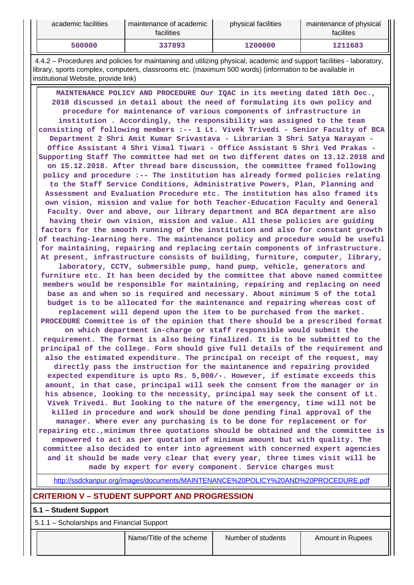| academic facilities | maintenance of academic<br><b>facilities</b> | physical facilities | maintenance of physical<br>facilites |
|---------------------|----------------------------------------------|---------------------|--------------------------------------|
| 500000              | 337893                                       | 1200000             | 1211683                              |

 4.4.2 – Procedures and policies for maintaining and utilizing physical, academic and support facilities - laboratory, library, sports complex, computers, classrooms etc. (maximum 500 words) (information to be available in institutional Website, provide link)

 **MAINTENANCE POLICY AND PROCEDURE Our IQAC in its meeting dated 18th Dec., 2018 discussed in detail about the need of formulating its own policy and procedure for maintenance of various components of infrastructure in institution . Accordingly, the responsibility was assigned to the team consisting of following members :-- 1 Lt. Vivek Trivedi - Senior Faculty of BCA Department 2 Shri Amit Kumar Srivastava - Librarian 3 Shri Satya Narayan - Office Assistant 4 Shri Vimal Tiwari - Office Assistant 5 Shri Ved Prakas - Supporting Staff The committee had met on two different dates on 13.12.2018 and on 15.12.2018. After thread bare discussion, the committee framed following policy and procedure :-- The institution has already formed policies relating to the Staff Service Conditions, Administrative Powers, Plan, Planning and Assessment and Evaluation Procedure etc. The institution has also framed its own vision, mission and value for both Teacher-Education Faculty and General Faculty. Over and above, our library department and BCA department are also having their own vision, mission and value. All these policies are guiding factors for the smooth running of the institution and also for constant growth of teaching-learning here. The maintenance policy and procedure would be useful for maintaining, repairing and replacing certain components of infrastructure. At present, infrastructure consists of building, furniture, computer, library, laboratory, CCTV, submersible pump, hand pump, vehicle, generators and furniture etc. It has been decided by the committee that above named committee members would be responsible for maintaining, repairing and replacing on need base as and when so is required and necessary. About minimum 5 of the total budget is to be allocated for the maintenance and repairing whereas cost of replacement will depend upon the item to be purchased from the market. PROCEDURE Committee is of the opinion that there should be a prescribed format on which department in-charge or staff responsible would submit the requirement. The format is also being finalized. It is to be submitted to the principal of the college. Form should give full details of the requirement and also the estimated expenditure. The principal on receipt of the request, may directly pass the instruction for the maintanence and repairing provided expected expenditure is upto Rs. 5,000/-. However, if estimate exceeds this amount, in that case, principal will seek the consent from the manager or in his absence, looking to the necessity, principal may seek the consent of Lt. Vivek Trivedi. But looking to the nature of the emergency, time will not be killed in procedure and work should be done pending final approval of the manager. Where ever any purchasing is to be done for replacement or for repairing etc.,minimum three quotations should be obtained and the committee is empowered to act as per quotation of minimum amount but with quality. The committee also decided to enter into agreement with concerned expert agencies and it should be made very clear that every year, three times visit will be made by expert for every component. Service charges must**

http://ssdckanpur.org/images/documents/MAINTENANCE%20POLICY%20AND%20PROCEDURE.pdf

## **CRITERION V – STUDENT SUPPORT AND PROGRESSION**

#### **5.1 – Student Support**

5.1.1 – Scholarships and Financial Support

| Name/Title of the scheme<br>Number of students<br><b>Amount in Rupees</b> |
|---------------------------------------------------------------------------|
|---------------------------------------------------------------------------|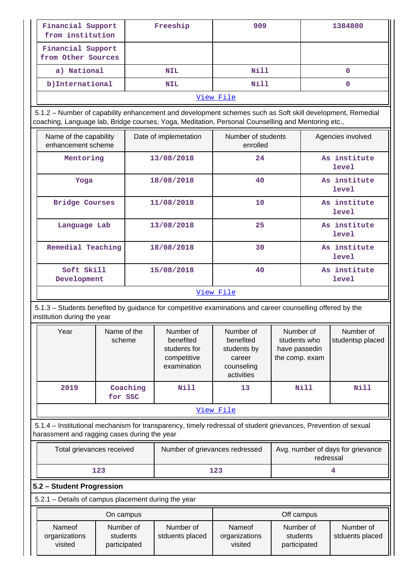| Financial Support<br>from institution   | Freeship                                                                                                                                                                                                        | 909  | 1384800 |  |  |  |  |
|-----------------------------------------|-----------------------------------------------------------------------------------------------------------------------------------------------------------------------------------------------------------------|------|---------|--|--|--|--|
| Financial Support<br>from Other Sources |                                                                                                                                                                                                                 |      |         |  |  |  |  |
| a) National                             | NIL                                                                                                                                                                                                             | Nill | 0       |  |  |  |  |
| b) International                        | <b>NIL</b>                                                                                                                                                                                                      | Nill | 0       |  |  |  |  |
|                                         | View File                                                                                                                                                                                                       |      |         |  |  |  |  |
|                                         | 5.1.2 – Number of capability enhancement and development schemes such as Soft skill development, Remedial<br>coaching, Language lab, Bridge courses, Yoga, Meditation, Personal Counselling and Mentoring etc., |      |         |  |  |  |  |

| Name of the capability<br>enhancement scheme | Date of implemetation | Number of students<br>enrolled | Agencies involved     |  |
|----------------------------------------------|-----------------------|--------------------------------|-----------------------|--|
| Mentoring                                    | 13/08/2018            | 24                             | As institute<br>level |  |
| Yoga                                         | 18/08/2018            | 40                             | As institute<br>level |  |
| <b>Bridge Courses</b>                        | 11/08/2018            | 10                             | As institute<br>level |  |
| Language Lab                                 | 13/08/2018            | 25                             | As institute<br>level |  |
| Remedial Teaching                            | 18/08/2018            | 30                             | As institute<br>level |  |
| Soft Skill<br>Development                    | 15/08/2018            | 40                             | As institute<br>level |  |
| View File                                    |                       |                                |                       |  |

 5.1.3 – Students benefited by guidance for competitive examinations and career counselling offered by the institution during the year

| Year      | Name of the<br>scheme | Number of<br>benefited<br>students for<br>competitive<br>examination | Number of<br>benefited<br>students by<br>career<br>counseling<br>activities | Number of<br>students who<br>have passedin<br>the comp. exam | Number of<br>studentsp placed |
|-----------|-----------------------|----------------------------------------------------------------------|-----------------------------------------------------------------------------|--------------------------------------------------------------|-------------------------------|
| 2019      | Coaching<br>for SSC   | Nill                                                                 | 13                                                                          | Nill                                                         | Nill                          |
| View File |                       |                                                                      |                                                                             |                                                              |                               |

 5.1.4 – Institutional mechanism for transparency, timely redressal of student grievances, Prevention of sexual harassment and ragging cases during the year

| Total grievances received | Number of grievances redressed | Avg. number of days for grievance<br>redressal |
|---------------------------|--------------------------------|------------------------------------------------|
| 123                       | 123                            |                                                |

# **5.2 – Student Progression**

5.2.1 – Details of campus placement during the year

| On campus                          |                                       |                              | Off campus                         |                                       |                              |
|------------------------------------|---------------------------------------|------------------------------|------------------------------------|---------------------------------------|------------------------------|
| Nameof<br>organizations<br>visited | Number of<br>students<br>participated | Number of<br>stduents placed | Nameof<br>organizations<br>visited | Number of<br>students<br>participated | Number of<br>stduents placed |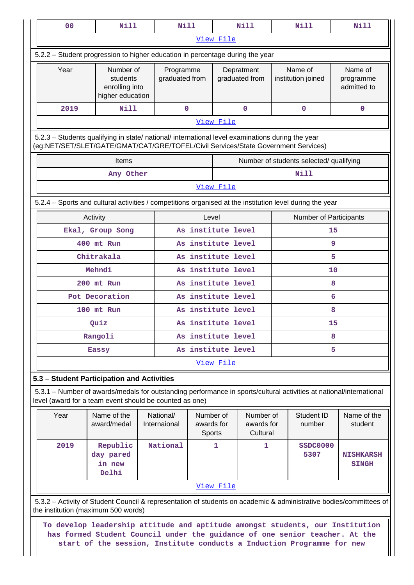| 0 <sub>0</sub>                                                                                                                                                                                                                         | Nill                                                                                                                                                                                   | <b>Nill</b>                 |                                   |                          | Nill                                |    | Nill                                    | Nill                                |
|----------------------------------------------------------------------------------------------------------------------------------------------------------------------------------------------------------------------------------------|----------------------------------------------------------------------------------------------------------------------------------------------------------------------------------------|-----------------------------|-----------------------------------|--------------------------|-------------------------------------|----|-----------------------------------------|-------------------------------------|
|                                                                                                                                                                                                                                        |                                                                                                                                                                                        |                             |                                   | View File                |                                     |    |                                         |                                     |
| 5.2.2 - Student progression to higher education in percentage during the year                                                                                                                                                          |                                                                                                                                                                                        |                             |                                   |                          |                                     |    |                                         |                                     |
| Year                                                                                                                                                                                                                                   | Number of<br>students<br>enrolling into<br>higher education                                                                                                                            | Programme<br>graduated from |                                   |                          | Depratment<br>graduated from        |    | Name of<br>institution joined           | Name of<br>programme<br>admitted to |
| 2019                                                                                                                                                                                                                                   | <b>Nill</b>                                                                                                                                                                            | $\mathbf 0$                 |                                   |                          | $\mathbf 0$                         |    | $\mathbf 0$                             | $\mathbf 0$                         |
|                                                                                                                                                                                                                                        | View File                                                                                                                                                                              |                             |                                   |                          |                                     |    |                                         |                                     |
|                                                                                                                                                                                                                                        | 5.2.3 - Students qualifying in state/ national/ international level examinations during the year<br>(eg:NET/SET/SLET/GATE/GMAT/CAT/GRE/TOFEL/Civil Services/State Government Services) |                             |                                   |                          |                                     |    |                                         |                                     |
|                                                                                                                                                                                                                                        | Items                                                                                                                                                                                  |                             |                                   |                          |                                     |    | Number of students selected/ qualifying |                                     |
|                                                                                                                                                                                                                                        | Any Other                                                                                                                                                                              |                             |                                   |                          |                                     |    | <b>Nill</b>                             |                                     |
|                                                                                                                                                                                                                                        |                                                                                                                                                                                        |                             |                                   | View File                |                                     |    |                                         |                                     |
|                                                                                                                                                                                                                                        | 5.2.4 – Sports and cultural activities / competitions organised at the institution level during the year                                                                               |                             |                                   |                          |                                     |    |                                         |                                     |
|                                                                                                                                                                                                                                        | Activity                                                                                                                                                                               |                             | Level                             |                          |                                     |    | <b>Number of Participants</b>           |                                     |
|                                                                                                                                                                                                                                        | Ekal, Group Song                                                                                                                                                                       |                             | As institute level                |                          |                                     |    |                                         | 15                                  |
|                                                                                                                                                                                                                                        | 400 mt Run                                                                                                                                                                             |                             | As institute level                |                          |                                     |    |                                         | 9                                   |
|                                                                                                                                                                                                                                        | Chitrakala                                                                                                                                                                             |                             | As institute level                |                          |                                     |    |                                         | 5                                   |
|                                                                                                                                                                                                                                        | Mehndi                                                                                                                                                                                 |                             |                                   | As institute level<br>10 |                                     |    |                                         |                                     |
| 200 mt Run                                                                                                                                                                                                                             |                                                                                                                                                                                        |                             |                                   | As institute level<br>8  |                                     |    |                                         |                                     |
| Pot Decoration                                                                                                                                                                                                                         |                                                                                                                                                                                        |                             |                                   | As institute level<br>6  |                                     |    |                                         |                                     |
| 100 mt Run                                                                                                                                                                                                                             |                                                                                                                                                                                        | As institute level          |                                   |                          | 8                                   |    |                                         |                                     |
|                                                                                                                                                                                                                                        | Quiz                                                                                                                                                                                   |                             | As institute level                |                          |                                     | 15 |                                         |                                     |
|                                                                                                                                                                                                                                        | Rangoli                                                                                                                                                                                |                             | As institute level                |                          |                                     |    |                                         | 8                                   |
|                                                                                                                                                                                                                                        | <b>Eassy</b>                                                                                                                                                                           |                             | As institute level                |                          |                                     |    |                                         | 5                                   |
|                                                                                                                                                                                                                                        |                                                                                                                                                                                        |                             |                                   | View File                |                                     |    |                                         |                                     |
|                                                                                                                                                                                                                                        | 5.3 - Student Participation and Activities                                                                                                                                             |                             |                                   |                          |                                     |    |                                         |                                     |
|                                                                                                                                                                                                                                        | 5.3.1 - Number of awards/medals for outstanding performance in sports/cultural activities at national/international<br>level (award for a team event should be counted as one)         |                             |                                   |                          |                                     |    |                                         |                                     |
| Year                                                                                                                                                                                                                                   | Name of the<br>award/medal                                                                                                                                                             | National/<br>Internaional   | Number of<br>awards for<br>Sports |                          | Number of<br>awards for<br>Cultural |    | Student ID<br>number                    | Name of the<br>student              |
| 2019                                                                                                                                                                                                                                   | Republic<br>day pared<br>in new<br>Delhi                                                                                                                                               | National                    |                                   | 1                        | 1                                   |    | SSDC0000<br>5307                        | <b>NISHKARSH</b><br><b>SINGH</b>    |
|                                                                                                                                                                                                                                        |                                                                                                                                                                                        |                             |                                   | View File                |                                     |    |                                         |                                     |
| 5.3.2 - Activity of Student Council & representation of students on academic & administrative bodies/committees of<br>the institution (maximum 500 words)                                                                              |                                                                                                                                                                                        |                             |                                   |                          |                                     |    |                                         |                                     |
| To develop leadership attitude and aptitude amongst students, our Institution<br>has formed Student Council under the guidance of one senior teacher. At the<br>start of the session, Institute conducts a Induction Programme for new |                                                                                                                                                                                        |                             |                                   |                          |                                     |    |                                         |                                     |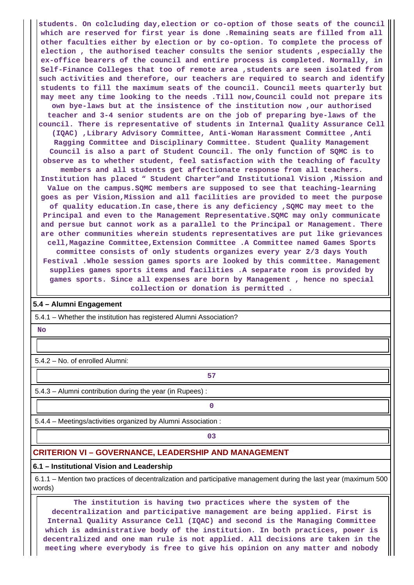**students. On colcluding day,election or co-option of those seats of the council which are reserved for first year is done .Remaining seats are filled from all other faculties either by election or by co-option. To complete the process of election , the authorised teacher consults the senior students ,especially the ex-office bearers of the council and entire process is completed. Normally, in Self-Finance Colleges that too of remote area ,students are seen isolated from such activities and therefore, our teachers are required to search and identify students to fill the maximum seats of the council. Council meets quarterly but may meet any time looking to the needs .Till now,Council could not prepare its own bye-laws but at the insistence of the institution now ,our authorised teacher and 3-4 senior students are on the job of preparing bye-laws of the council. There is representative of students in Internal Quality Assurance Cell (IQAC) ,Library Advisory Committee, Anti-Woman Harassment Committee ,Anti Ragging Committee and Disciplinary Committee. Student Quality Management Council is also a part of Student Council. The only function of SQMC is to observe as to whether student, feel satisfaction with the teaching of faculty members and all students get affectionate response from all teachers. Institution has placed " Student Charter"and Institutional Vision ,Mission and Value on the campus.SQMC members are supposed to see that teaching-learning goes as per Vision,Mission and all facilities are provided to meet the purpose of quality education.In case,there is any deficiency ,SQMC may meet to the Principal and even to the Management Representative.SQMC may only communicate and persue but cannot work as a parallel to the Principal or Management. There are other communities wherein students representatives are put like grievances cell,Magazine Committee,Extension Committee .A Committee named Games Sports committee consists of only students organizes every year 2/3 days Youth Festival .Whole session games sports are looked by this committee. Management supplies games sports items and facilities .A separate room is provided by games sports. Since all expenses are born by Management , hence no special collection or donation is permitted .**

#### **5.4 – Alumni Engagement**

5.4.1 – Whether the institution has registered Alumni Association?

 **No**

5.4.2 – No. of enrolled Alumni:

**57**

5.4.3 – Alumni contribution during the year (in Rupees) :

**0**

5.4.4 – Meetings/activities organized by Alumni Association :

**03**

# **CRITERION VI – GOVERNANCE, LEADERSHIP AND MANAGEMENT**

## **6.1 – Institutional Vision and Leadership**

 6.1.1 – Mention two practices of decentralization and participative management during the last year (maximum 500 words)

 **The institution is having two practices where the system of the decentralization and participative management are being applied. First is Internal Quality Assurance Cell (IQAC) and second is the Managing Committee which is administrative body of the institution. In both practices, power is decentralized and one man rule is not applied. All decisions are taken in the meeting where everybody is free to give his opinion on any matter and nobody**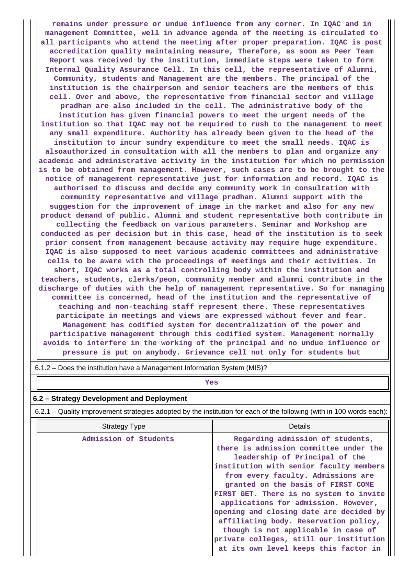**remains under pressure or undue influence from any corner. In IQAC and in management Committee, well in advance agenda of the meeting is circulated to all participants who attend the meeting after proper preparation. IQAC is post accreditation quality maintaining measure, Therefore, as soon as Peer Team Report was received by the institution, immediate steps were taken to form Internal Quality Assurance Cell. In this cell, the representative of Alumni, Community, students and Management are the members. The principal of the institution is the chairperson and senior teachers are the members of this cell. Over and above, the representative from financial sector and village pradhan are also included in the cell. The administrative body of the institution has given financial powers to meet the urgent needs of the institution so that IQAC may not be required to rush to the management to meet any small expenditure. Authority has already been given to the head of the institution to incur sundry expenditure to meet the small needs. IQAC is alsoauthorized in consultation with all the members to plan and organize any academic and administrative activity in the institution for which no permission is to be obtained from management. However, such cases are to be brought to the notice of management representative just for information and record. IQAC is authorised to discuss and decide any community work in consultation with community representative and village pradhan. Alumni support with the suggestion for the improvement of image in the market and also for any new product demand of public. Alumni and student representative both contribute in collecting the feedback on various parameters. Seminar and Workshop are conducted as per decision but in this case, head of the institution is to seek prior consent from management because activity may require huge expenditure. IQAC is also supposed to meet various academic committees and administrative cells to be aware with the proceedings of meetings and their activities. In short, IQAC works as a total controlling body within the institution and teachers, students, clerks/peon, community member and alumni contribute in the discharge of duties with the help of management representative. So for managing committee is concerned, head of the institution and the representative of teaching and non-teaching staff represent there. These representatives participate in meetings and views are expressed without fever and fear. Management has codified system for decentralization of the power and participative management through this codified system. Management normally avoids to interfere in the working of the principal and no undue influence or pressure is put on anybody. Grievance cell not only for students but**

# *Yes*

#### **6.2 – Strategy Development and Deployment**

6.2.1 – Quality improvement strategies adopted by the institution for each of the following (with in 100 words each):

| <b>Strategy Type</b>  | Details                                                                                                                                                                                                                                                                                                                                                                                                    |
|-----------------------|------------------------------------------------------------------------------------------------------------------------------------------------------------------------------------------------------------------------------------------------------------------------------------------------------------------------------------------------------------------------------------------------------------|
| Admission of Students | Regarding admission of students,<br>there is admission committee under the<br>leadership of Principal of the<br>institution with senior faculty members<br>from every faculty. Admissions are<br>granted on the basis of FIRST COME<br>FIRST GET. There is no system to invite<br>applications for admission. However,<br>opening and closing date are decided by<br>affiliating body. Reservation policy, |
|                       | though is not applicable in case of<br>private colleges, still our institution<br>at its own level keeps this factor in                                                                                                                                                                                                                                                                                    |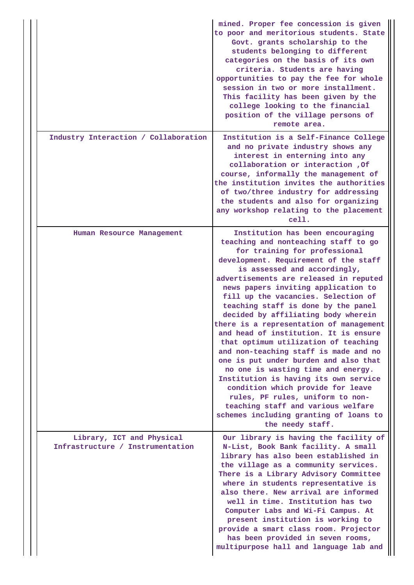|                                                               | mined. Proper fee concession is given<br>to poor and meritorious students. State<br>Govt. grants scholarship to the<br>students belonging to different<br>categories on the basis of its own<br>criteria. Students are having<br>opportunities to pay the fee for whole<br>session in two or more installment.<br>This facility has been given by the<br>college looking to the financial<br>position of the village persons of<br>remote area.                                                                                                                                                                                                                                                                                                                                                                                                                    |
|---------------------------------------------------------------|--------------------------------------------------------------------------------------------------------------------------------------------------------------------------------------------------------------------------------------------------------------------------------------------------------------------------------------------------------------------------------------------------------------------------------------------------------------------------------------------------------------------------------------------------------------------------------------------------------------------------------------------------------------------------------------------------------------------------------------------------------------------------------------------------------------------------------------------------------------------|
| Industry Interaction / Collaboration                          | Institution is a Self-Finance College<br>and no private industry shows any<br>interest in enterning into any<br>collaboration or interaction , Of<br>course, informally the management of<br>the institution invites the authorities<br>of two/three industry for addressing<br>the students and also for organizing<br>any workshop relating to the placement<br>cell.                                                                                                                                                                                                                                                                                                                                                                                                                                                                                            |
| Human Resource Management                                     | Institution has been encouraging<br>teaching and nonteaching staff to go<br>for training for professional<br>development. Requirement of the staff<br>is assessed and accordingly,<br>advertisements are released in reputed<br>news papers inviting application to<br>fill up the vacancies. Selection of<br>teaching staff is done by the panel<br>decided by affiliating body wherein<br>there is a representation of management<br>and head of institution. It is ensure<br>that optimum utilization of teaching<br>and non-teaching staff is made and no<br>one is put under burden and also that<br>no one is wasting time and energy.<br>Institution is having its own service<br>condition which provide for leave<br>rules, PF rules, uniform to non-<br>teaching staff and various welfare<br>schemes including granting of loans to<br>the needy staff. |
| Library, ICT and Physical<br>Infrastructure / Instrumentation | Our library is having the facility of<br>N-List, Book Bank facility. A small<br>library has also been established in<br>the village as a community services.<br>There is a Library Advisory Committee<br>where in students representative is<br>also there. New arrival are informed<br>well in time. Institution has two<br>Computer Labs and Wi-Fi Campus. At<br>present institution is working to<br>provide a smart class room. Projector<br>has been provided in seven rooms,<br>multipurpose hall and language lab and                                                                                                                                                                                                                                                                                                                                       |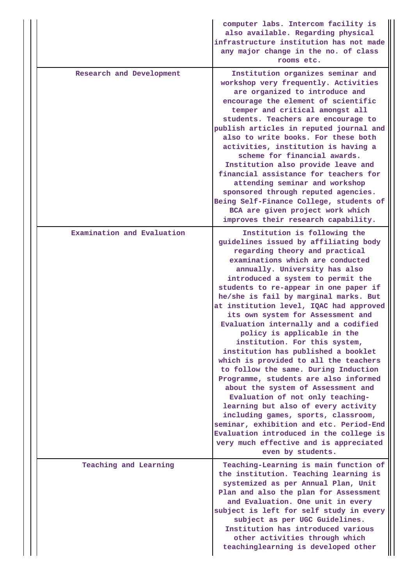|                            | computer labs. Intercom facility is<br>also available. Regarding physical<br>infrastructure institution has not made<br>any major change in the no. of class<br>rooms etc.                                                                                                                                                                                                                                                                                                                                                                                                                                                                                                                                                                                                                                                                                                                                                                                                |
|----------------------------|---------------------------------------------------------------------------------------------------------------------------------------------------------------------------------------------------------------------------------------------------------------------------------------------------------------------------------------------------------------------------------------------------------------------------------------------------------------------------------------------------------------------------------------------------------------------------------------------------------------------------------------------------------------------------------------------------------------------------------------------------------------------------------------------------------------------------------------------------------------------------------------------------------------------------------------------------------------------------|
| Research and Development   | Institution organizes seminar and<br>workshop very frequently. Activities<br>are organized to introduce and<br>encourage the element of scientific<br>temper and critical amongst all<br>students. Teachers are encourage to<br>publish articles in reputed journal and<br>also to write books. For these both<br>activities, institution is having a<br>scheme for financial awards.<br>Institution also provide leave and<br>financial assistance for teachers for<br>attending seminar and workshop<br>sponsored through reputed agencies.<br>Being Self-Finance College, students of<br>BCA are given project work which<br>improves their research capability.                                                                                                                                                                                                                                                                                                       |
| Examination and Evaluation | Institution is following the<br>guidelines issued by affiliating body<br>regarding theory and practical<br>examinations which are conducted<br>annually. University has also<br>introduced a system to permit the<br>students to re-appear in one paper if<br>he/she is fail by marginal marks. But<br>at institution level, IQAC had approved<br>its own system for Assessment and<br>Evaluation internally and a codified<br>policy is applicable in the<br>institution. For this system,<br>institution has published a booklet<br>which is provided to all the teachers<br>to follow the same. During Induction<br>Programme, students are also informed<br>about the system of Assessment and<br>Evaluation of not only teaching-<br>learning but also of every activity<br>including games, sports, classroom,<br>seminar, exhibition and etc. Period-End<br>Evaluation introduced in the college is<br>very much effective and is appreciated<br>even by students. |
| Teaching and Learning      | Teaching-Learning is main function of<br>the institution. Teaching learning is<br>systemized as per Annual Plan, Unit<br>Plan and also the plan for Assessment<br>and Evaluation. One unit in every<br>subject is left for self study in every<br>subject as per UGC Guidelines.<br>Institution has introduced various<br>other activities through which<br>teachinglearning is developed other                                                                                                                                                                                                                                                                                                                                                                                                                                                                                                                                                                           |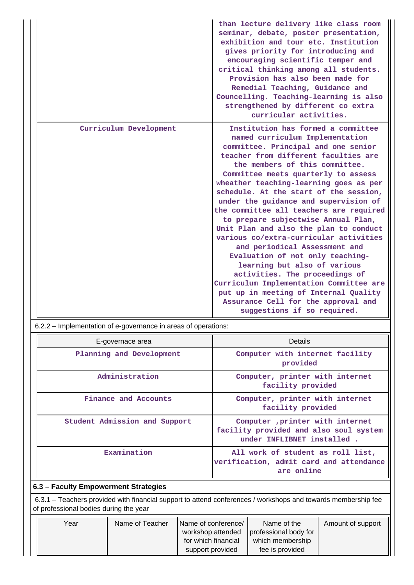|                        | than lecture delivery like class room<br>seminar, debate, poster presentation,<br>exhibition and tour etc. Institution<br>gives priority for introducing and<br>encouraging scientific temper and<br>critical thinking among all students.<br>Provision has also been made for<br>Remedial Teaching, Guidance and<br>Councelling. Teaching-learning is also<br>strengthened by different co extra<br>curricular activities.                                                                                                                                                                                                                                                                                                                                                                                                       |
|------------------------|-----------------------------------------------------------------------------------------------------------------------------------------------------------------------------------------------------------------------------------------------------------------------------------------------------------------------------------------------------------------------------------------------------------------------------------------------------------------------------------------------------------------------------------------------------------------------------------------------------------------------------------------------------------------------------------------------------------------------------------------------------------------------------------------------------------------------------------|
| Curriculum Development | Institution has formed a committee<br>named curriculum Implementation<br>committee. Principal and one senior<br>teacher from different faculties are<br>the members of this committee.<br>Committee meets quarterly to assess<br>wheather teaching-learning goes as per<br>schedule. At the start of the session,<br>under the guidance and supervision of<br>the committee all teachers are required<br>to prepare subjectwise Annual Plan,<br>Unit Plan and also the plan to conduct<br>various co/extra-curricular activities<br>and periodical Assessment and<br>Evaluation of not only teaching-<br>learning but also of various<br>activities. The proceedings of<br>Curriculum Implementation Committee are<br>put up in meeting of Internal Quality<br>Assurance Cell for the approval and<br>suggestions if so required. |

6.2.2 – Implementation of e-governance in areas of operations:

| E-governace area                     | Details                                                                                                  |  |  |  |  |
|--------------------------------------|----------------------------------------------------------------------------------------------------------|--|--|--|--|
| Planning and Development             | Computer with internet facility<br>provided                                                              |  |  |  |  |
| Administration                       | Computer, printer with internet<br>facility provided                                                     |  |  |  |  |
| Finance and Accounts                 | Computer, printer with internet<br>facility provided                                                     |  |  |  |  |
| Student Admission and Support        | Computer , printer with internet<br>facility provided and also soul system<br>under INFLIBNET installed. |  |  |  |  |
| Examination                          | All work of student as roll list,<br>verification, admit card and attendance<br>are online               |  |  |  |  |
| 6.3 - Faculty Empowerment Strategies |                                                                                                          |  |  |  |  |

 6.3.1 – Teachers provided with financial support to attend conferences / workshops and towards membership fee of professional bodies during the year

| Year | Name of Teacher | Name of conference/ | Name of the           | Amount of support |
|------|-----------------|---------------------|-----------------------|-------------------|
|      |                 | workshop attended   | professional body for |                   |
|      |                 | for which financial | which membership      |                   |
|      |                 | support provided    | fee is provided       |                   |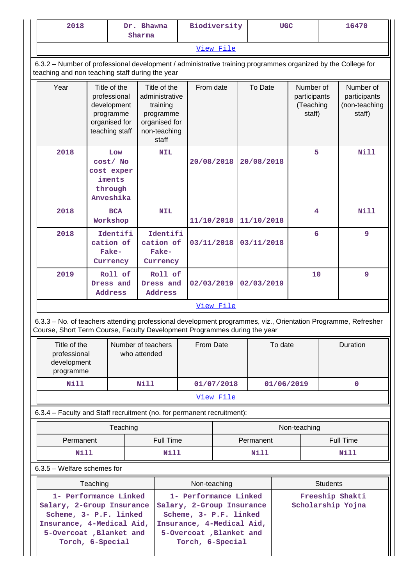| 2018<br>Dr. Bhawna<br>Sharma                                                                                                                                                                                                                                                                                                                                                             |                                                                                             |                                            |                                                                                                   | Biodiversity |            |                          | <b>UGC</b> |            | 16470                     |                                                  |                 |                                                      |
|------------------------------------------------------------------------------------------------------------------------------------------------------------------------------------------------------------------------------------------------------------------------------------------------------------------------------------------------------------------------------------------|---------------------------------------------------------------------------------------------|--------------------------------------------|---------------------------------------------------------------------------------------------------|--------------|------------|--------------------------|------------|------------|---------------------------|--------------------------------------------------|-----------------|------------------------------------------------------|
|                                                                                                                                                                                                                                                                                                                                                                                          | View File                                                                                   |                                            |                                                                                                   |              |            |                          |            |            |                           |                                                  |                 |                                                      |
| 6.3.2 – Number of professional development / administrative training programmes organized by the College for<br>teaching and non teaching staff during the year                                                                                                                                                                                                                          |                                                                                             |                                            |                                                                                                   |              |            |                          |            |            |                           |                                                  |                 |                                                      |
| Year                                                                                                                                                                                                                                                                                                                                                                                     | Title of the<br>professional<br>development<br>programme<br>organised for<br>teaching staff |                                            | Title of the<br>administrative<br>training<br>programme<br>organised for<br>non-teaching<br>staff |              |            | From date                |            | To Date    |                           | Number of<br>participants<br>(Teaching<br>staff) |                 | Number of<br>participants<br>(non-teaching<br>staff) |
| 2018                                                                                                                                                                                                                                                                                                                                                                                     | Low<br><b>NIL</b><br>cost/ No<br>20/08/2018<br>cost exper<br>iments<br>through<br>Anveshika |                                            | 20/08/2018                                                                                        |              | 5          |                          | Nill       |            |                           |                                                  |                 |                                                      |
| 2018                                                                                                                                                                                                                                                                                                                                                                                     |                                                                                             | <b>BCA</b><br>Workshop                     |                                                                                                   | <b>NIL</b>   | 11/10/2018 |                          |            | 11/10/2018 |                           | 4                                                |                 | Nill                                                 |
| 2018                                                                                                                                                                                                                                                                                                                                                                                     |                                                                                             | Identifi<br>cation of<br>Fake-<br>Currency | cation of<br>Fake-<br>Currency                                                                    | Identifi     |            | 03/11/2018<br>03/11/2018 |            |            | 6                         |                                                  | 9               |                                                      |
| 2019                                                                                                                                                                                                                                                                                                                                                                                     |                                                                                             | Roll of<br>Dress and<br>Address            | Dress and<br>Address                                                                              | Roll of      | 02/03/2019 |                          | 02/03/2019 |            |                           | 10                                               |                 | 9                                                    |
|                                                                                                                                                                                                                                                                                                                                                                                          | View File                                                                                   |                                            |                                                                                                   |              |            |                          |            |            |                           |                                                  |                 |                                                      |
| 6.3.3 - No. of teachers attending professional development programmes, viz., Orientation Programme, Refresher<br>Course, Short Term Course, Faculty Development Programmes during the year                                                                                                                                                                                               |                                                                                             |                                            |                                                                                                   |              |            |                          |            |            |                           |                                                  |                 |                                                      |
| programme                                                                                                                                                                                                                                                                                                                                                                                | Title of the<br>Number of teachers<br>professional<br>development                           |                                            | who attended                                                                                      |              | From Date  |                          |            |            | To date                   |                                                  |                 | Duration                                             |
| <b>Nill</b>                                                                                                                                                                                                                                                                                                                                                                              |                                                                                             |                                            | Nill                                                                                              |              |            | 01/07/2018               |            |            | $\mathbf 0$<br>01/06/2019 |                                                  |                 |                                                      |
|                                                                                                                                                                                                                                                                                                                                                                                          |                                                                                             |                                            |                                                                                                   |              |            | View File                |            |            |                           |                                                  |                 |                                                      |
| 6.3.4 - Faculty and Staff recruitment (no. for permanent recruitment):                                                                                                                                                                                                                                                                                                                   |                                                                                             |                                            |                                                                                                   |              |            |                          |            |            |                           |                                                  |                 |                                                      |
|                                                                                                                                                                                                                                                                                                                                                                                          |                                                                                             | Teaching                                   |                                                                                                   |              |            |                          |            |            |                           | Non-teaching                                     |                 |                                                      |
| Permanent                                                                                                                                                                                                                                                                                                                                                                                |                                                                                             |                                            |                                                                                                   | Full Time    |            |                          | Permanent  |            | Full Time                 |                                                  |                 |                                                      |
| <b>Nill</b><br>$6.3.5$ – Welfare schemes for                                                                                                                                                                                                                                                                                                                                             |                                                                                             |                                            |                                                                                                   | Nill         |            |                          |            | Nill       |                           |                                                  |                 | Nill                                                 |
|                                                                                                                                                                                                                                                                                                                                                                                          |                                                                                             |                                            |                                                                                                   |              |            |                          |            |            |                           |                                                  | <b>Students</b> |                                                      |
| Non-teaching<br>Teaching<br>1- Performance Linked<br>1- Performance Linked<br>Freeship Shakti<br>Salary, 2-Group Insurance<br>Salary, 2-Group Insurance<br>Scholarship Yojna<br>Scheme, 3- P.F. linked<br>Scheme, 3- P.F. linked<br>Insurance, 4-Medical Aid,<br>Insurance, 4-Medical Aid,<br>5-Overcoat, Blanket and<br>5-Overcoat, Blanket and<br>Torch, 6-Special<br>Torch, 6-Special |                                                                                             |                                            |                                                                                                   |              |            |                          |            |            |                           |                                                  |                 |                                                      |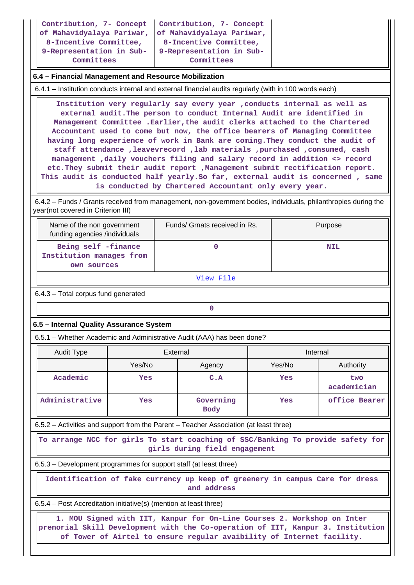| Contribution, 7- Concept   Contribution, 7- Concept<br>of Mahavidyalaya Pariwar, of Mahavidyalaya Pariwar,<br>8-Incentive Committee,<br>9-Representation in Sub- 9-Representation in Sub- | 8-Incentive Committee, |
|-------------------------------------------------------------------------------------------------------------------------------------------------------------------------------------------|------------------------|
| Committees                                                                                                                                                                                | Committees             |

#### **6.4 – Financial Management and Resource Mobilization**

6.4.1 – Institution conducts internal and external financial audits regularly (with in 100 words each)

 **Institution very regularly say every year ,conducts internal as well as external audit.The person to conduct Internal Audit are identified in Management Committee .Earlier,the audit clerks attached to the Chartered Accountant used to come but now, the office bearers of Managing Committee having long experience of work in Bank are coming.They conduct the audit of staff attendance ,leavevrecord ,lab materials ,purchased ,consumed, cash management ,daily vouchers filing and salary record in addition <> record etc.They submit their audit report ,Management submit rectification report. This audit is conducted half yearly.So far, external audit is concerned , same is conducted by Chartered Accountant only every year.**

 6.4.2 – Funds / Grants received from management, non-government bodies, individuals, philanthropies during the year(not covered in Criterion III)

| Name of the non government<br>funding agencies /individuals    | Funds/ Grnats received in Rs. | Purpose    |
|----------------------------------------------------------------|-------------------------------|------------|
| Being self -finance<br>Institution manages from<br>own sources |                               | <b>NIL</b> |

View File

6.4.3 – Total corpus fund generated

# **0**

#### **6.5 – Internal Quality Assurance System**

6.5.1 – Whether Academic and Administrative Audit (AAA) has been done?

| Audit Type     | External |                          | Internal |                    |  |
|----------------|----------|--------------------------|----------|--------------------|--|
|                | Yes/No   | Agency                   | Yes/No   | Authority          |  |
| Academic       | Yes      | C.A                      | Yes      | two<br>academician |  |
| Administrative | Yes      | Governing<br><b>Body</b> | Yes      | office Bearer      |  |

6.5.2 – Activities and support from the Parent – Teacher Association (at least three)

 **To arrange NCC for girls To start coaching of SSC/Banking To provide safety for girls during field engagement**

6.5.3 – Development programmes for support staff (at least three)

 **Identification of fake currency up keep of greenery in campus Care for dress and address**

6.5.4 – Post Accreditation initiative(s) (mention at least three)

 **1. MOU Signed with IIT, Kanpur for On-Line Courses 2. Workshop on Inter prenorial Skill Development with the Co-operation of IIT, Kanpur 3. Institution of Tower of Airtel to ensure regular avaibility of Internet facility.**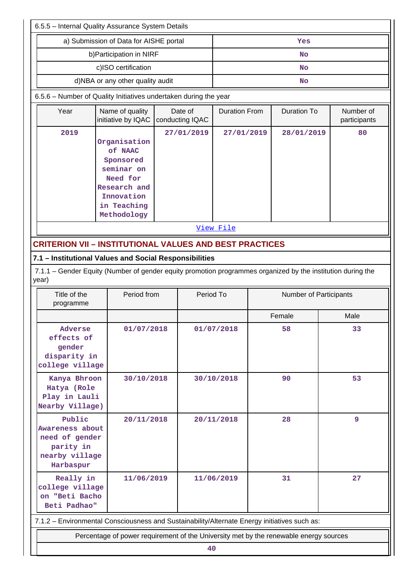| 6.5.5 - Internal Quality Assurance System Details                                                                              |                                                                                       |  |                            |                      |    |                        |                           |  |  |
|--------------------------------------------------------------------------------------------------------------------------------|---------------------------------------------------------------------------------------|--|----------------------------|----------------------|----|------------------------|---------------------------|--|--|
|                                                                                                                                | a) Submission of Data for AISHE portal                                                |  | Yes                        |                      |    |                        |                           |  |  |
|                                                                                                                                | b) Participation in NIRF                                                              |  | <b>No</b>                  |                      |    |                        |                           |  |  |
|                                                                                                                                | c)ISO certification                                                                   |  | <b>No</b>                  |                      |    |                        |                           |  |  |
|                                                                                                                                | d)NBA or any other quality audit                                                      |  |                            |                      | No |                        |                           |  |  |
| 6.5.6 - Number of Quality Initiatives undertaken during the year                                                               |                                                                                       |  |                            |                      |    |                        |                           |  |  |
| Year                                                                                                                           | Name of quality<br>initiative by IQAC                                                 |  | Date of<br>conducting IQAC | <b>Duration From</b> |    | <b>Duration To</b>     | Number of<br>participants |  |  |
| 2019                                                                                                                           |                                                                                       |  | 27/01/2019                 | 27/01/2019           |    | 28/01/2019             | 80                        |  |  |
|                                                                                                                                | Organisation<br>of NAAC                                                               |  |                            |                      |    |                        |                           |  |  |
|                                                                                                                                | Sponsored                                                                             |  |                            |                      |    |                        |                           |  |  |
|                                                                                                                                | seminar on                                                                            |  |                            |                      |    |                        |                           |  |  |
|                                                                                                                                | Need for                                                                              |  |                            |                      |    |                        |                           |  |  |
|                                                                                                                                | Research and                                                                          |  |                            |                      |    |                        |                           |  |  |
|                                                                                                                                | Innovation<br>in Teaching                                                             |  |                            |                      |    |                        |                           |  |  |
|                                                                                                                                | Methodology                                                                           |  |                            |                      |    |                        |                           |  |  |
|                                                                                                                                |                                                                                       |  |                            | View File            |    |                        |                           |  |  |
| <b>CRITERION VII - INSTITUTIONAL VALUES AND BEST PRACTICES</b>                                                                 |                                                                                       |  |                            |                      |    |                        |                           |  |  |
| 7.1 - Institutional Values and Social Responsibilities                                                                         |                                                                                       |  |                            |                      |    |                        |                           |  |  |
| 7.1.1 – Gender Equity (Number of gender equity promotion programmes organized by the institution during the                    |                                                                                       |  |                            |                      |    |                        |                           |  |  |
| year)                                                                                                                          |                                                                                       |  |                            |                      |    |                        |                           |  |  |
| Title of the<br>programme                                                                                                      | Period from                                                                           |  | Period To                  |                      |    | Number of Participants |                           |  |  |
|                                                                                                                                |                                                                                       |  |                            |                      |    | Female                 | Male                      |  |  |
| Adverse<br>effects of<br>gender<br>disparity in<br>college village                                                             | 01/07/2018                                                                            |  |                            | 01/07/2018           |    | 58                     | 33                        |  |  |
| Kanya Bhroon<br>Hatya (Role<br>Play in Lauli<br>Nearby Village)                                                                | 30/10/2018                                                                            |  |                            | 30/10/2018           |    | 90                     | 53                        |  |  |
| Public<br>28<br>9<br>20/11/2018<br>20/11/2018<br>Awareness about<br>need of gender<br>parity in<br>nearby village<br>Harbaspur |                                                                                       |  |                            |                      |    |                        |                           |  |  |
| Really in<br>college village<br>on "Beti Bacho<br>Beti Padhao"                                                                 | 11/06/2019                                                                            |  |                            | 11/06/2019           |    | 31                     | 27                        |  |  |
| 7.1.2 - Environmental Consciousness and Sustainability/Alternate Energy initiatives such as:                                   |                                                                                       |  |                            |                      |    |                        |                           |  |  |
|                                                                                                                                | Percentage of power requirement of the University met by the renewable energy sources |  |                            |                      |    |                        |                           |  |  |
| 40                                                                                                                             |                                                                                       |  |                            |                      |    |                        |                           |  |  |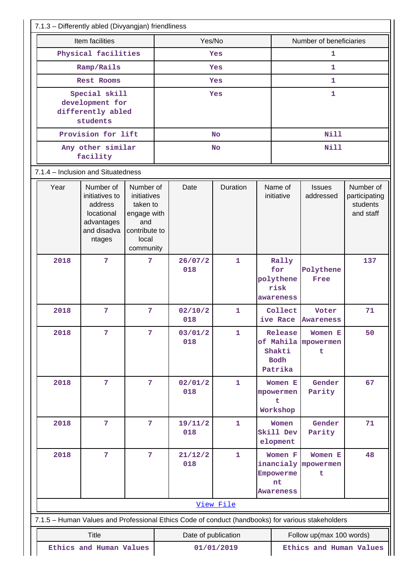| 7.1.3 - Differently abled (Divyangjan) friendliness                                               |                                                                                             |                                                                                                   |  |                     |              |  |                                                |                                     |                                                     |  |
|---------------------------------------------------------------------------------------------------|---------------------------------------------------------------------------------------------|---------------------------------------------------------------------------------------------------|--|---------------------|--------------|--|------------------------------------------------|-------------------------------------|-----------------------------------------------------|--|
| Item facilities                                                                                   |                                                                                             |                                                                                                   |  | Yes/No              |              |  |                                                | Number of beneficiaries             |                                                     |  |
|                                                                                                   | Physical facilities                                                                         |                                                                                                   |  | Yes                 |              |  |                                                | 1                                   |                                                     |  |
|                                                                                                   | Ramp/Rails                                                                                  |                                                                                                   |  |                     | Yes          |  | 1                                              |                                     |                                                     |  |
|                                                                                                   | Rest Rooms                                                                                  |                                                                                                   |  |                     | Yes          |  |                                                | 1                                   |                                                     |  |
|                                                                                                   | Special skill<br>development for<br>differently abled<br>students                           |                                                                                                   |  | Yes                 |              |  |                                                | 1                                   |                                                     |  |
|                                                                                                   | Provision for lift                                                                          |                                                                                                   |  |                     | <b>No</b>    |  |                                                | <b>Nill</b>                         |                                                     |  |
|                                                                                                   | Any other similar<br>facility                                                               |                                                                                                   |  |                     | <b>No</b>    |  |                                                | <b>Nill</b>                         |                                                     |  |
| 7.1.4 - Inclusion and Situatedness                                                                |                                                                                             |                                                                                                   |  |                     |              |  |                                                |                                     |                                                     |  |
| Year                                                                                              | Number of<br>initiatives to<br>address<br>locational<br>advantages<br>and disadva<br>ntages | Number of<br>initiatives<br>taken to<br>engage with<br>and<br>contribute to<br>local<br>community |  | Date                | Duration     |  | Name of<br>initiative                          | <b>Issues</b><br>addressed          | Number of<br>participating<br>students<br>and staff |  |
| 2018                                                                                              | $\overline{7}$                                                                              | $\overline{7}$                                                                                    |  | 26/07/2<br>018      | $\mathbf{1}$ |  | Rally<br>for<br>polythene<br>risk<br>awareness | Polythene<br>Free                   | 137                                                 |  |
| 2018                                                                                              | $\overline{7}$                                                                              | 7                                                                                                 |  | 02/10/2<br>018      | 1            |  | Collect<br>ive Race                            | Voter<br><b>Awareness</b>           | 71                                                  |  |
| 2018                                                                                              | 7                                                                                           | 7                                                                                                 |  | 03/01/2<br>018      | $\mathbf{1}$ |  | Release<br>Shakti<br><b>Bodh</b><br>Patrika    | Women E<br>of Mahila mpowermen<br>t | 50                                                  |  |
| 2018                                                                                              | $\overline{7}$                                                                              | $\overline{7}$                                                                                    |  | 02/01/2<br>018      | $\mathbf{1}$ |  | Women E<br>mpowermen<br>t<br>Workshop          | Gender<br>Parity                    | 67                                                  |  |
| 2018                                                                                              | $\overline{7}$                                                                              | $\overline{7}$                                                                                    |  | 19/11/2<br>018      | 1            |  | Women<br>Skill Dev<br>elopment                 | Gender<br>Parity                    | 71                                                  |  |
| 2018                                                                                              | 7                                                                                           | 7                                                                                                 |  | 21/12/2<br>018      | 1            |  | Women F<br>Empowerme<br>nt<br><b>Awareness</b> | Women E<br>inancialy mpowermen<br>t | 48                                                  |  |
|                                                                                                   |                                                                                             |                                                                                                   |  |                     | View File    |  |                                                |                                     |                                                     |  |
| 7.1.5 - Human Values and Professional Ethics Code of conduct (handbooks) for various stakeholders |                                                                                             |                                                                                                   |  |                     |              |  |                                                |                                     |                                                     |  |
|                                                                                                   | <b>Title</b>                                                                                |                                                                                                   |  | Date of publication |              |  |                                                | Follow up(max 100 words)            |                                                     |  |
|                                                                                                   | Ethics and Human Values                                                                     |                                                                                                   |  |                     | 01/01/2019   |  |                                                | Ethics and Human Values             |                                                     |  |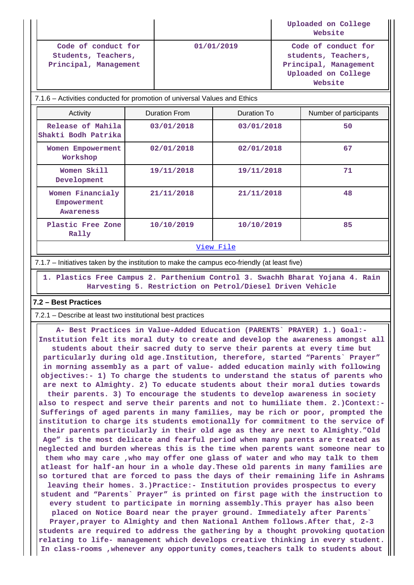|                                                                     |            | Uploaded on College<br>Website                                                                        |
|---------------------------------------------------------------------|------------|-------------------------------------------------------------------------------------------------------|
| Code of conduct for<br>Students, Teachers,<br>Principal, Management | 01/01/2019 | Code of conduct for<br>students, Teachers,<br>Principal, Management<br>Uploaded on College<br>Website |

7.1.6 – Activities conducted for promotion of universal Values and Ethics

| Activity                                            | <b>Duration From</b> | Duration To | Number of participants |
|-----------------------------------------------------|----------------------|-------------|------------------------|
| Release of Mahila<br>Shakti Bodh Patrika            | 03/01/2018           | 03/01/2018  | 50                     |
| Women Empowerment<br>Workshop                       | 02/01/2018           | 02/01/2018  | 67                     |
| Women Skill<br>Development                          | 19/11/2018           | 19/11/2018  | 71                     |
| Women Financialy<br>Empowerment<br><b>Awareness</b> | 21/11/2018           | 21/11/2018  | 48                     |
| Plastic Free Zone<br>Rally                          | 10/10/2019           | 10/10/2019  | 85                     |
|                                                     |                      |             |                        |

View File

7.1.7 – Initiatives taken by the institution to make the campus eco-friendly (at least five)

 **1. Plastics Free Campus 2. Parthenium Control 3. Swachh Bharat Yojana 4. Rain Harvesting 5. Restriction on Petrol/Diesel Driven Vehicle**

#### **7.2 – Best Practices**

7.2.1 – Describe at least two institutional best practices

 **A- Best Practices in Value-Added Education (PARENTS` PRAYER) 1.) Goal:- Institution felt its moral duty to create and develop the awareness amongst all students about their sacred duty to serve their parents at every time but particularly during old age.Institution, therefore, started "Parents` Prayer" in morning assembly as a part of value- added education mainly with following objectives:- 1) To charge the students to understand the status of parents who are next to Almighty. 2) To educate students about their moral duties towards their parents. 3) To encourage the students to develop awareness in society also to respect and serve their parents and not to humiliate them. 2.)Context:- Sufferings of aged parents in many families, may be rich or poor, prompted the institution to charge its students emotionally for commitment to the service of their parents particularly in their old age as they are next to Almighty."Old Age" is the most delicate and fearful period when many parents are treated as neglected and burden whereas this is the time when parents want someone near to them who may care ,who may offer one glass of water and who may talk to them atleast for half-an hour in a whole day.These old parents in many families are so tortured that are forced to pass the days of their remaining life in Ashrams leaving their homes. 3.)Practice:- Institution provides prospectus to every student and "Parents` Prayer" is printed on first page with the instruction to every student to participate in morning assembly.This prayer has also been placed on Notice Board near the prayer ground. Immediately after Parents` Prayer,prayer to Almighty and then National Anthem follows.After that, 2-3 students are required to address the gathering by a thought provoking quotation relating to life- management which develops creative thinking in every student. In class-rooms ,whenever any opportunity comes,teachers talk to students about**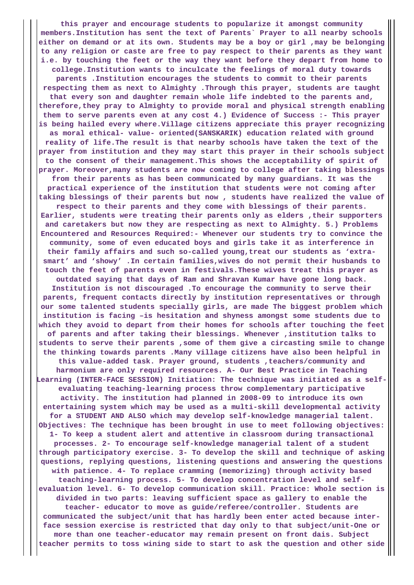**this prayer and encourage students to popularize it amongst community members.Institution has sent the text of Parents` Prayer to all nearby schools either on demand or at its own. Students may be a boy or girl ,may be belonging to any religion or caste are free to pay respect to their parents as they want i.e. by touching the feet or the way they want before they depart from home to college.Institution wants to inculcate the feelings of moral duty towards parents .Institution encourages the students to commit to their parents respecting them as next to Almighty .Through this prayer, students are taught that every son and daughter remain whole life indebted to the parents and, therefore,they pray to Almighty to provide moral and physical strength enabling them to serve parents even at any cost 4.) Evidence of Success :- This prayer is being hailed every where.Village citizens appreciate this prayer recognizing as moral ethical- value- oriented(SANSKARIK) education related with ground reality of life.The result is that nearby schools have taken the text of the prayer from institution and they may start this prayer in their schools subject to the consent of their management.This shows the acceptability of spirit of prayer. Moreover,many students are now coming to college after taking blessings from their parents as has been communicated by many guardians. It was the practical experience of the institution that students were not coming after taking blessings of their parents but now , students have realized the value of respect to their parents and they come with blessings of their parents. Earlier, students were treating their parents only as elders ,their supporters and caretakers but now they are respecting as next to Almighty. 5.) Problems Encountered and Resources Required:- Whenever our students try to convince the community, some of even educated boys and girls take it as interference in their family affairs and such so-called young,treat our students as 'extrasmart' and 'showy' .In certain families,wives do not permit their husbands to touch the feet of parents even in festivals.These wives treat this prayer as outdated saying that days of Ram and Shravan Kumar have gone long back. Institution is not discouraged .To encourage the community to serve their parents, frequent contacts directly by institution representatives or through our some talented students specially girls, are made The biggest problem which institution is facing –is hesitation and shyness amongst some students due to which they avoid to depart from their homes for schools after touching the feet of parents and after taking their blessings. Whenever ,institution talks to students to serve their parents ,some of them give a circasting smile to change the thinking towards parents .Many village citizens have also been helpful in this value-added task. Prayer ground, students ,teachers/community and harmonium are only required resources. A- Our Best Practice in Teaching Learning (INTER-FACE SESSION) Initiation: The technique was initiated as a selfevaluating teaching-learning process throw complementary participative activity. The institution had planned in 2008-09 to introduce its own entertaining system which may be used as a multi-skill developmental activity for a STUDENT AND ALSO which may develop self-knowledge managerial talent. Objectives: The technique has been brought in use to meet following objectives: 1- To keep a student alert and attentive in classroom during transactional processes. 2- To encourage self-knowledge managerial talent of a student through participatory exercise. 3- To develop the skill and technique of asking questions, replying questions, listening questions and answering the questions with patience. 4- To replace cramming (memorizing) through activity based teaching-learning process. 5- To develop concentration level and selfevaluation level. 6- To develop communication skill. Practice: Whole section is divided in two parts: leaving sufficient space as gallery to enable the teacher- educator to move as guide/referee/controller. Students are communicated the subject/unit that has hardly been enter acted because interface session exercise is restricted that day only to that subject/unit-One or more than one teacher-educator may remain present on front dais. Subject teacher permits to toss wining side to start to ask the question and other side**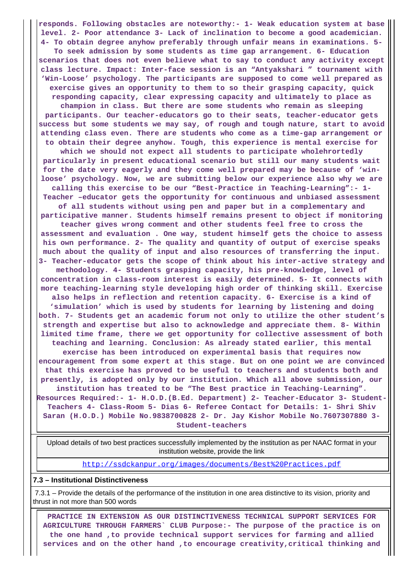**responds. Following obstacles are noteworthy:- 1- Weak education system at base level. 2- Poor attendance 3- Lack of inclination to become a good academician. 4- To obtain degree anyhow preferably through unfair means in examinations. 5- To seek admission by some students as time gap arrangement. 6- Education scenarios that does not even believe what to say to conduct any activity except class lecture. Impact: Inter-face session is an "Antyakshari " tournament with 'Win-Loose' psychology. The participants are supposed to come well prepared as exercise gives an opportunity to them to so their grasping capacity, quick responding capacity, clear expressing capacity and ultimately to place as champion in class. But there are some students who remain as sleeping participants. Our teacher-educators go to their seats, teacher-educator gets success but some students we may say, of rough and tough nature, start to avoid attending class even. There are students who come as a time-gap arrangement or to obtain their degree anyhow. Tough, this experience is mental exercise for which we should not expect all students to participate wholehrortedly particularly in present educational scenario but still our many students wait for the date very eagerly and they come well prepared may be because of 'winloose' psychology. Now, we are submitting below our experience also why we are calling this exercise to be our "Best-Practice in Teaching-Learning":- 1- Teacher –educator gets the opportunity for continuous and unbiased assessment of all students without using pen and paper but in a complementary and participative manner. Students himself remains present to object if monitoring teacher gives wrong comment and other students feel free to cross the assessment and evaluation . One way, student himself gets the choice to assess his own performance. 2- The quality and quantity of output of exercise speaks much about the quality of input and also resources of transferring the input. 3- Teacher-educator gets the scope of think about his inter-active strategy and methodology. 4- Students grasping capacity, his pre-knowledge, level of concentration in class-room interest is easily determined. 5- It connects with more teaching-learning style developing high order of thinking skill. Exercise also helps in reflection and retention capacity. 6- Exercise is a kind of 'simulation' which is used by students for learning by listening and doing both. 7- Students get an academic forum not only to utilize the other student's strength and expertise but also to acknowledge and appreciate them. 8- Within limited time frame, there we get opportunity for collective assessment of both teaching and learning. Conclusion: As already stated earlier, this mental exercise has been introduced on experimental basis that requires now encouragement from some expert at this stage. But on one point we are convinced that this exercise has proved to be useful to teachers and students both and presently, is adopted only by our institution. Which all above submission, our institution has treated to be "The Best practice in Teaching-Learning". Resources Required:- 1- H.O.D.(B.Ed. Department) 2- Teacher-Educator 3- Student-Teachers 4- Class-Room 5- Dias 6- Referee Contact for Details: 1- Shri Shiv Saran (H.O.D.) Mobile No.9838700828 2- Dr. Jay Kishor Mobile No.7607307880 3- Student-teachers**

 Upload details of two best practices successfully implemented by the institution as per NAAC format in your institution website, provide the link

http://ssdckanpur.org/images/documents/Best%20Practices.pdf

#### **7.3 – Institutional Distinctiveness**

 7.3.1 – Provide the details of the performance of the institution in one area distinctive to its vision, priority and thrust in not more than 500 words

 **PRACTICE IN EXTENSION AS OUR DISTINCTIVENESS TECHNICAL SUPPORT SERVICES FOR AGRICULTURE THROUGH FARMERS` CLUB Purpose:- The purpose of the practice is on the one hand ,to provide technical support services for farming and allied services and on the other hand ,to encourage creativity,critical thinking and**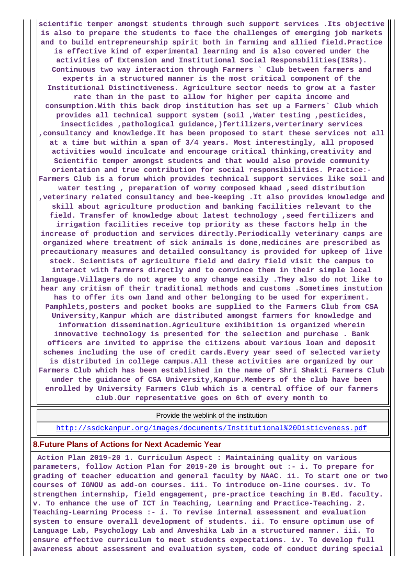**scientific temper amongst students through such support services .Its objective is also to prepare the students to face the challenges of emerging job markets and to build entrepreneurship spirit both in farming and allied field.Practice is effective kind of experimental learning and is also covered under the activities of Extension and Institutional Social Responsbilities(ISRs). Continuous two way interaction through Farmers ` Club between farmers and experts in a structured manner is the most critical component of the Institutional Distinctiveness. Agriculture sector needs to grow at a faster rate than in the past to allow for higher per capita income and consumption.With this back drop institution has set up a Farmers` Club which provides all technical support system (soil ,Water testing ,pesticides, insecticides ,pathological guidance,)fertilizers,verterinary services ,consultancy and knowledge.It has been proposed to start these services not all at a time but within a span of 3/4 years. Most interestingly, all proposed activities would inculcate and encourage critical thinking,creativity and Scientific temper amongst students and that would also provide community orientation and true contribution for social responsibilities. Practice:- Farmers Club is a forum which provides technical support services like soil and water testing , preparation of wormy composed khaad ,seed distribution ,veterinary related consultancy and bee-keeping .It also provides knowledge and skill about agriculture production and banking facilities relevant to the field. Transfer of knowledge about latest technology ,seed fertilizers and irrigation facilities receive top priority as these factors help in the increase of production and services directly.Periodically veterinary camps are organized where treatment of sick animals is done,medicines are prescribed as precautionary measures and detailed consultancy is provided for upkeep of live stock. Scientists of agriculture field and dairy field visit the campus to interact with farmers directly and to convince them in their simple local language.Villagers do not agree to any change easily .They also do not like to hear any critism of their traditional methods and customs .Sometimes instution has to offer its own land and other belonging to be used for experiment. Pamphlets,posters and pocket books are supplied to the Farmers Club from CSA University,Kanpur which are distributed amongst farmers for knowledge and information dissemination.Agriculture exihibition is organized wherein innovative technology is presented for the selection and purchase . Bank officers are invited to apprise the citizens about various loan and deposit schemes including the use of credit cards.Every year seed of selected variety is distributed in college campus.All these activities are organized by our Farmers Club which has been established in the name of Shri Shakti Farmers Club under the guidance of CSA University,Kanpur.Members of the club have been enrolled by University Farmers Club which is a central office of our farmers club.Our representative goes on 6th of every month to**

Provide the weblink of the institution

http://ssdckanpur.org/images/documents/Institutional%20Disticveness.pdf

#### **8.Future Plans of Actions for Next Academic Year**

 **Action Plan 2019-20 1. Curriculum Aspect : Maintaining quality on various parameters, follow Action Plan for 2019-20 is brought out :- i. To prepare for grading of teacher education and general faculty by NAAC. ii. To start one or two courses of IGNOU as add-on courses. iii. To introduce on-line courses. iv. To strengthen internship, field engagement, pre-practice teaching in B.Ed. faculty. v. To enhance the use of ICT in Teaching, Learning and Practice-Teaching. 2. Teaching-Learning Process :- i. To revise internal assessment and evaluation system to ensure overall development of students. ii. To ensure optimum use of Language Lab, Psychology Lab and Anveshika Lab in a structured manner. iii. To ensure effective curriculum to meet students expectations. iv. To develop full awareness about assessment and evaluation system, code of conduct during special**